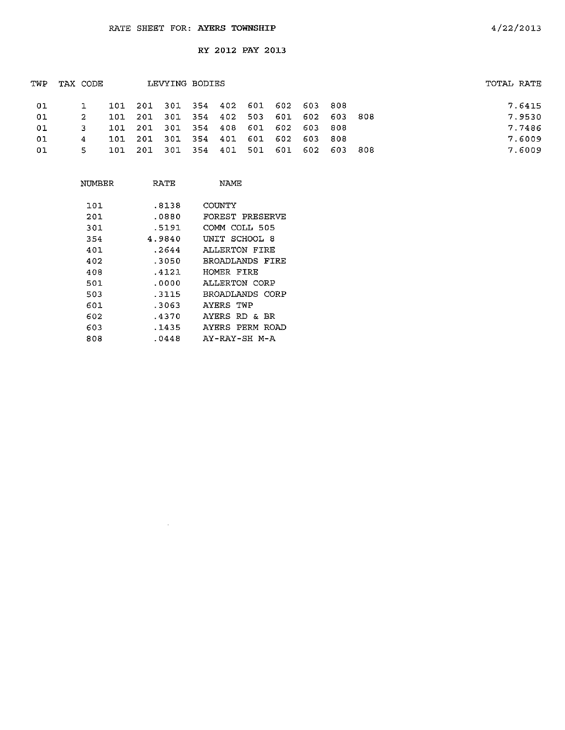| TWP | TAX CODE |  | LEVYING BODIES                          |  |  |  | TOTAL RATE |        |
|-----|----------|--|-----------------------------------------|--|--|--|------------|--------|
| -01 |          |  | 101 201 301 354 402 601 602 603 808     |  |  |  |            | 7.6415 |
| 01  | 2        |  | 101 201 301 354 402 503 601 602 603 808 |  |  |  |            | 7.9530 |
| 01  | 3.       |  | 101 201 301 354 408 601 602 603 808     |  |  |  |            | 7.7486 |
| 01  | -4       |  | 101 201 301 354 401 601 602 603 808     |  |  |  |            | 7.6009 |
| 01  |          |  | 101 201 301 354 401 501 601 602 603 808 |  |  |  |            | 7.6009 |
|     |          |  |                                         |  |  |  |            |        |

| NUMBER | RATE   | NAMF            |
|--------|--------|-----------------|
|        |        |                 |
| 101    | .8138  | COUNTY          |
| 201    | .0880  | FOREST PRESERVE |
| 301    | .5191  | COMM COLL 505   |
| 354    | 4.9840 | UNIT SCHOOL 8   |
| 401    | .2644  | ALLERTON FIRE   |
| 402    | .3050  | BROADLANDS FIRE |
| 408    | .4121  | HOMER FIRE      |
| 501    | .0000  | ALLERTON CORP   |
| 503    | .3115  | BROADLANDS CORP |
| 601    | .3063  | AYERS TWP       |
| 602    | .4370  | AYERS RD & BR   |
| 603    | .1435  | AYERS PERM ROAD |
| 808    | .0448  | AY-RAY-SH M-A   |

 $\sim$   $\sim$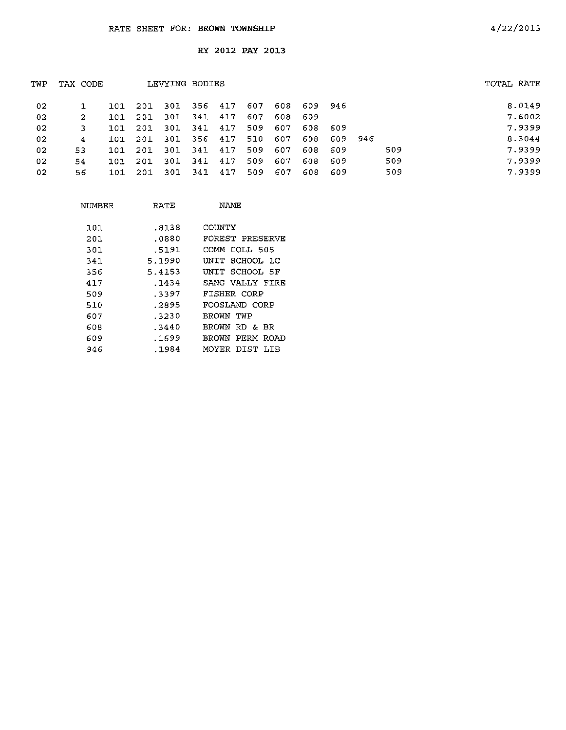| TWP | TAX CODE |       |      | LEVYING BODIES |     |     |     |     |     |         |     | TOTAL RATE |
|-----|----------|-------|------|----------------|-----|-----|-----|-----|-----|---------|-----|------------|
| 02  |          | 101   | -201 | 301            | 356 | 417 | 607 | 608 | 609 | - 946   |     | 8.0149     |
| -02 | 2        | 101   | 201  | 301            | 341 | 417 | 607 | 608 | 609 |         |     | 7.6002     |
| 02  | 3        | 101   | 201  | -301           | 341 | 417 | 509 | 607 | 608 | -609    |     | 7.9399     |
| 02  | 4        | ר סיד | 201  | -301           | 356 | 417 | 510 | 607 | 608 | 609 946 |     | 8.3044     |
| 02  | 53       | 101   | 201  | 301            | 341 | 417 | 509 | 607 | 608 | -609    | 509 | 7.9399     |
| 02  | 54       | 101   | 201  | -301           | 341 | 417 | 509 | 607 | 608 | -609    | 509 | 7.9399     |
| 02  | 56.      | 101   | -201 | -301           | 341 | 417 | 509 | 607 | 608 | -609    | 509 | 7.9399     |
|     |          |       |      |                |     |     |     |     |     |         |     |            |

| NIJMBER | RATE   | NAMF               |
|---------|--------|--------------------|
| 101     | -8138  | COUNTY             |
| 201     | .0880  | FOREST PRESERVE    |
| 301     | .5191  | COMM COLL 505      |
| 341     | 5.1990 | UNIT SCHOOL 1C     |
| 356     | 5.4153 | INIT SCHOOL 5F     |
| 417     | .1434  | SANG VALLY FIRE    |
| 509     | -3397  | FISHER CORP        |
| 510     | .2895  | FOOSLAND CORP      |
| 607     | . 3230 | RROWN TWP          |
| 608     | -3440  | BROWN RD & BR      |
| 609     | .1699  | PERM ROAD<br>BROWN |
| 946     | .1984  | MOYER DIST LIB     |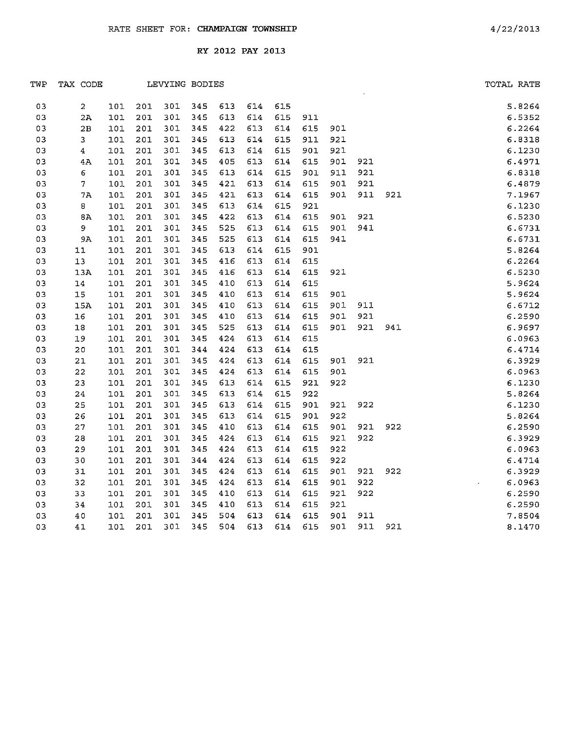| TWP | TAX CODE       |     |     | LEVYING BODIES |     |     |     |     |     |     |     |     | TOTAL RATE                      |
|-----|----------------|-----|-----|----------------|-----|-----|-----|-----|-----|-----|-----|-----|---------------------------------|
| 03  | 2              | 101 | 201 | 301            | 345 | 613 | 614 | 615 |     |     |     |     | 5.8264                          |
| 03  | 2A             | 101 | 201 | 301            | 345 | 613 | 614 | 615 | 911 |     |     |     | 6.5352                          |
| 03  | 2B             | 101 | 201 | 301            | 345 | 422 | 613 | 614 | 615 | 901 |     |     | 6.2264                          |
| 03  | 3              | 101 | 201 | 301            | 345 | 613 | 614 | 615 | 911 | 921 |     |     | 6.8318                          |
| 03  | $\overline{4}$ | 101 | 201 | 301            | 345 | 613 | 614 | 615 | 901 | 921 |     |     | 6.1230                          |
| 03  | 4A             | 101 | 201 | 301            | 345 | 405 | 613 | 614 | 615 | 901 | 921 |     | 6.4971                          |
| 03  | 6              | 101 | 201 | 301            | 345 | 613 | 614 | 615 | 901 | 911 | 921 |     | 6.8318                          |
| 03  | 7              | 101 | 201 | 301            | 345 | 421 | 613 | 614 | 615 | 901 | 921 |     | 6.4879                          |
| 03  | 7A             | 101 | 201 | 301            | 345 | 421 | 613 | 614 | 615 | 901 | 911 | 921 | 7.1967                          |
| 03  | 8              | 101 | 201 | 301            | 345 | 613 | 614 | 615 | 921 |     |     |     | 6.1230                          |
| 03  | 8Λ             | 101 | 201 | 301            | 345 | 422 | 613 | 614 | 615 | 901 | 921 |     | 6.5230                          |
| 03  | 9              | 101 | 201 | 301            | 345 | 525 | 613 | 614 | 615 | 901 | 941 |     | :1<br> 1<br> 1<br> 22<br>6.6731 |
| 03  | 9A             | 101 | 201 | 301            | 345 | 525 | 613 | 614 | 615 | 941 |     |     | 6.6731                          |
| 03  | ${\tt l1}$     | 101 | 201 | 301            | 345 | 613 | 614 | 615 | 901 |     |     |     | 5.8264                          |
| 03  | 13             | 101 | 201 | 301            | 345 | 416 | 613 | 614 | 615 |     |     |     | 6.2264                          |
| 03  | 13A            | 101 | 201 | 301            | 345 | 416 | 613 | 614 | 615 | 921 |     |     | 6.5230                          |
| 03  | $\bf 14$       | 101 | 201 | 301            | 345 | 410 | 613 | 614 | 615 |     |     |     | 5.9624                          |
| 03  | 15             | 101 | 201 | 301            | 345 | 410 | 613 | 614 | 615 | 901 |     |     | 5.9624                          |
| 03  | 15A            | 101 | 201 | 301            | 345 | 410 | 613 | 614 | 615 | 901 | 911 |     | 6.6712                          |
| 03  | 16             | 101 | 201 | 301            | 345 | 410 | 613 | 614 | 615 | 901 | 921 |     | 6.2590                          |
| 03  | $18\,$         | 101 | 201 | 301            | 345 | 525 | 613 | 614 | 615 | 901 | 921 | 941 | 6.9697                          |
| 03  | 19             | 101 | 201 | 301            | 345 | 424 | 613 | 614 | 615 |     |     |     | 6.0963                          |
| 03  | $20\,$         | 101 | 201 | 301            | 344 | 424 | 613 | 614 | 615 |     |     |     | 6.4714                          |
| 03  | $2\,1$         | 101 | 201 | 301            | 345 | 424 | 613 | 614 | 615 | 901 | 921 |     | 6.3929                          |
| 03  | 22             | 101 | 201 | 301            | 345 | 424 | 613 | 614 | 615 | 901 |     |     | 6.0963                          |
| 03  | 23             | 101 | 201 | 301            | 345 | 613 | 614 | 615 | 921 | 922 |     |     | 6.1230                          |
| 03  | 24             | 101 | 201 | 301            | 345 | 613 | 614 | 615 | 922 |     |     |     | 5.8264                          |
| 03  | 25             | 101 | 201 | 301            | 345 | 613 | 614 | 615 | 901 | 921 | 922 |     | 6.1230                          |
| 03  | 26             | 101 | 201 | 301            | 345 | 613 | 614 | 615 | 901 | 922 |     |     | 5.8264                          |
| 03  | 27             | 101 | 201 | 301            | 345 | 410 | 613 | 614 | 615 | 901 | 921 | 922 | 6.2590                          |
| 03  | 28             | 101 | 201 | 301            | 345 | 424 | 613 | 614 | 615 | 921 | 922 |     | 6.3929                          |
| 03  | 29             | 101 | 201 | 301            | 345 | 424 | 613 | 614 | 615 | 922 |     |     | 6.0963                          |
| 03  | 30             | 101 | 201 | 301            | 344 | 424 | 613 | 614 | 615 | 922 |     |     | 6.4714                          |
| 03  | 31             | 101 | 201 | 301            | 345 | 424 | 613 | 614 | 615 | 901 | 921 | 922 | 6.3929                          |
| 03  | 32             | 101 | 201 | 301            | 345 | 424 | 613 | 614 | 615 | 901 | 922 |     | 6.0963                          |
| 03  | 33             | 101 | 201 | 301            | 345 | 410 | 613 | 614 | 615 | 921 | 922 |     | 6.2590                          |
| 03  | 34             | 101 | 201 | 301            | 345 | 410 | 613 | 614 | 615 | 921 |     |     | 6.2590                          |
| 03  | 40             | 101 | 201 | 301            | 345 | 504 | 613 | 614 | 615 | 901 | 911 |     | 7.8504                          |
| 03  | 41             | 101 | 201 | 301            | 345 | 504 | 613 | 614 | 615 | 901 | 911 | 921 | 8.1470                          |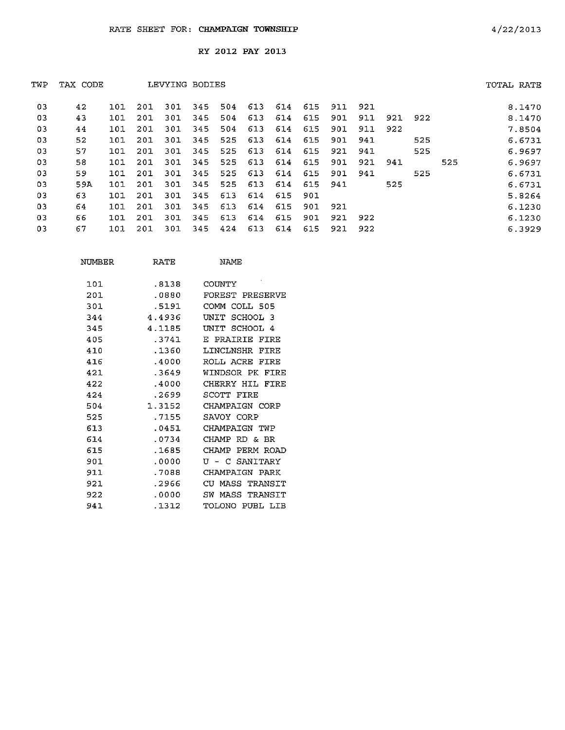| TWP | TAX CODE |     |     | LEVYING BODIES |     |     |     |     |     |     |     |     |     |     | TOTAL RATE |
|-----|----------|-----|-----|----------------|-----|-----|-----|-----|-----|-----|-----|-----|-----|-----|------------|
| 03  | 42       | 101 | 201 | 301            | 345 | 504 | 613 | 614 | 615 | 911 | 921 |     |     |     | 8.1470     |
| 03  | 43       | 101 | 201 | 301            | 345 | 504 | 613 | 614 | 615 | 901 | 911 | 921 | 922 |     | 8.1470     |
| 03  | 44       | 101 | 201 | 301            | 345 | 504 | 613 | 614 | 615 | 901 | 911 | 922 |     |     | 7.8504     |
| 03  | 52       | 101 | 201 | 301            | 345 | 525 | 613 | 614 | 615 | 901 | 941 |     | 525 |     | 6.6731     |
| 03  | 57       | 101 | 201 | 301            | 345 | 525 | 613 | 614 | 615 | 921 | 941 |     | 525 |     | 6.9697     |
| 03  | 58       | 101 | 201 | 301            | 345 | 525 | 613 | 614 | 615 | 901 | 921 | 941 |     | 525 | 6.9697     |
| 03  | 59       | 101 | 201 | 301            | 345 | 525 | 613 | 614 | 615 | 901 | 941 |     | 525 |     | 6.6731     |
| 03  | 59A      | 101 | 201 | 301            | 345 | 525 | 613 | 614 | 615 | 941 |     | 525 |     |     | 6.6731     |
| 03  | 63       | 101 | 201 | 301            | 345 | 613 | 614 | 615 | 901 |     |     |     |     |     | 5.8264     |
| 03  | 64       | 101 | 201 | 301            | 345 | 613 | 614 | 615 | 901 | 921 |     |     |     |     | 6.1230     |
| 03  | 66       | 101 | 201 | 301            | 345 | 613 | 614 | 615 | 901 | 921 | 922 |     |     |     | 6.1230     |
| 03  | 67       | 101 | 201 | 301            | 345 | 424 | 613 | 614 | 615 | 921 | 922 |     |     |     | 6.3929     |

| NUMBER | <b>RATE</b> | <b>NAME</b>             |
|--------|-------------|-------------------------|
|        |             |                         |
| 101    | .8138       | COUNTY                  |
| 201    | .0880       | FOREST PRESERVE         |
| 301    | .5191       | COMM COLL 505           |
| 344    | 4.4936      | SCHOOL 3<br>UNIT        |
| 345    | 4.1185      | SCHOOL 4<br><b>INTT</b> |
| 405    | .3741       | PRAIRIE<br>F.<br>FTRE   |
| 410    | .1360       | LINCLNSHR<br>FIRE       |
| 416    | .4000       | ROLL ACRE<br>FTRE       |
| 421    | .3649       | WINDSOR PK<br>FIRE      |
| 422    | .4000       | CHERRY HIL<br>FIRE      |
| 424    | .2699       | SCOTT FIRE              |
| 504    | 1.3152      | CHAMPAIGN CORP          |
| 525    | .7155       | SAVOY CORP              |
| 613    | .0451       | CHAMPAIGN TWP           |
| 614    | .0734       | CHAMP RD & BR           |
| 615    | .1685       | CHAMP<br>PERM ROAD      |
| 901    | . 0000      | U - C SANTTARY          |
| 911    | 7088        | CHAMPATGN PARK          |
| 921    | .2966       | CU MASS I<br>TRANSIT    |
| 922    | .0000       | SW.<br>MASS<br>TRANSIT  |
| 941    | .1312       | TOLONO PUBL LIB         |
|        |             |                         |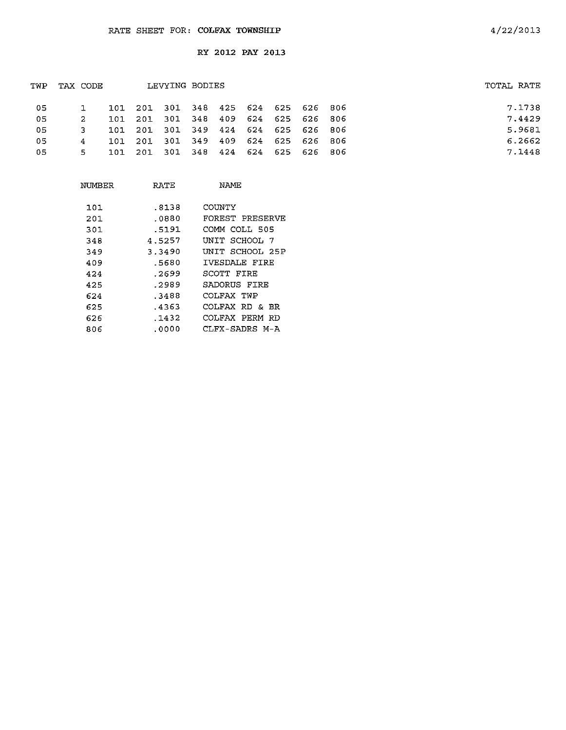| TOTAL RATE |
|------------|
| 7.1738     |
| 7.4429     |
| 5.9681     |
| 6.2662     |
| 7.1448     |
|            |

| NUMBER | RATE   | NAME            |
|--------|--------|-----------------|
| 101    | .8138  | COUNTY          |
| 201    | .0880  | FOREST PRESERVE |
| 301    | .5191  | COMM COLL 505   |
| 348    | 4.5257 | UNIT SCHOOL 7   |
| 349    | 3.3490 | UNIT SCHOOL 25P |
| 409    | .5680  | IVESDALE FIRE   |
| 424    | .2699  | SCOTT FIRE      |
| 425    | .2989  | SADORUS FIRE    |
| 624    | .3488  | COLFAX TWP      |
| 625    | .4363  | COLFAX RD & BR  |
| 626    | .1432  | COLFAX PERM RD  |
| 806    | .0000  | CLFX-SADRS M-A  |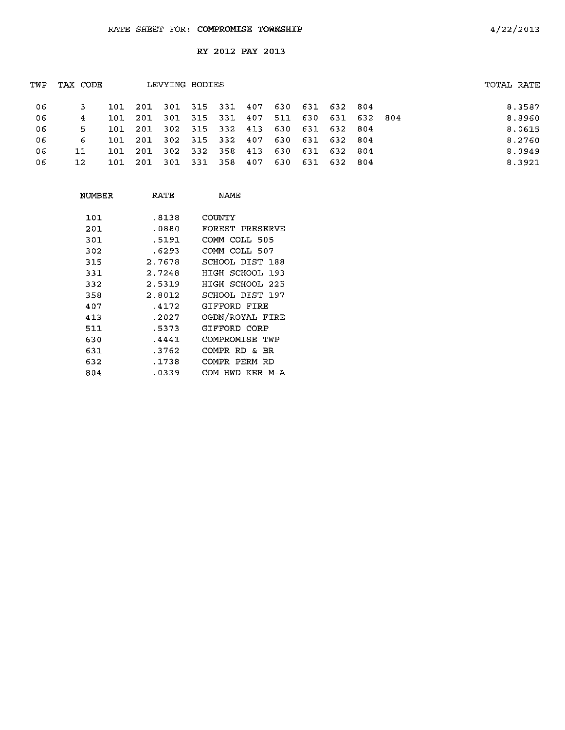| TWP | TAX CODE |     |       | LEVYING BODIES      |             |     |                 |                 |         | TOTAL RATE |        |
|-----|----------|-----|-------|---------------------|-------------|-----|-----------------|-----------------|---------|------------|--------|
| -06 |          | 101 | 201   | 301 315 331 407     |             |     |                 | 630 631 632 804 |         |            | 8.3587 |
| 06  | 4        | 101 | -201  | 301 315 331 407     |             |     |                 | 511 630 631     | 632 804 |            | 8.8960 |
| 06  | 5        | 101 | - 201 | 302 315 332 413     |             |     |                 | 630 631 632 804 |         |            | 8.0615 |
| 06  | 6        | 101 |       | 201 302 315 332 407 |             |     |                 | 630 631 632 804 |         |            | 8.2760 |
| 06  | 11       | 101 | 201   | 302                 | 332 358 413 |     | 630 631 632 804 |                 |         |            | 8.0949 |
| 06  | 12       | 101 | -201  | -301                | 331 358     | 407 |                 | 630 631 632 804 |         |            | 8.3921 |
|     |          |     |       |                     |             |     |                 |                 |         |            |        |

| NUMBER | RATE   | NAME.              |
|--------|--------|--------------------|
| 101    | .8138  | COUNTY             |
| 201    | .0880  | FOREST PRESERVE    |
| 301    | .5191  | COMM COLL 505      |
| 302    | .6293  | COMM COLL 507      |
| 315    | 2.7678 | SCHOOL DIST 188    |
| 331    | 2.7248 | HIGH SCHOOL 193    |
| 332    | 2.5319 | HIGH SCHOOL 225    |
| 358    | 2.8012 | SCHOOL DIST 197    |
| 407    | .4172  | GIFFORD FIRE       |
| 413    | .2027  | OGDN/ROYAL FIRE    |
| 511    | .5373  | GIFFORD CORP       |
| 630    | .4441  | COMPROMISE TWP     |
| 631    | .3762  | COMPR RD & BR      |
| 632    | .1738  | COMPR PERM<br>-RD  |
| 804    | .0339  | HWD KER M-A<br>COM |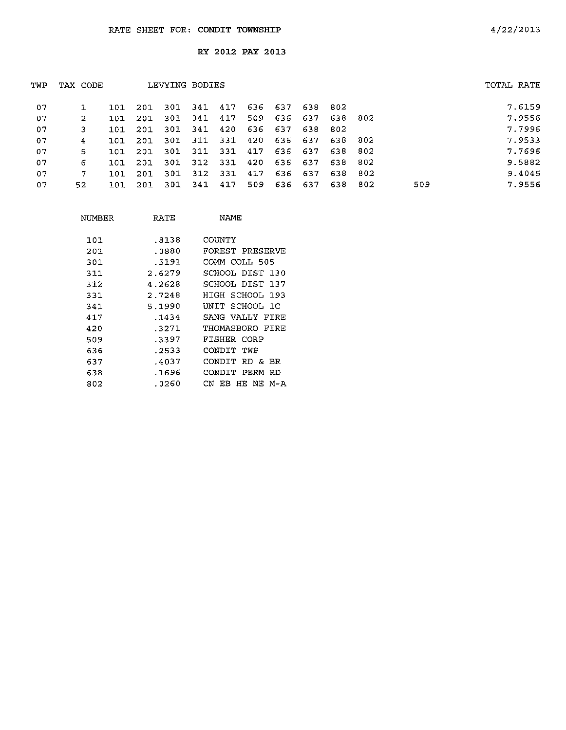| 636 637<br>07<br>341<br>417<br>638 802<br>301<br>-201<br>101<br>509<br>636<br>417<br>- 637<br>638 802<br>07<br>341<br>301<br>2<br>201<br>101<br>637<br>638<br>341<br>420<br>636<br>07<br>-301<br>802<br>201<br>3<br>101<br>$-331$<br>07<br>311<br>636 637<br>420<br>638 802<br>301<br>201<br>4<br>ומר<br>331 417<br>636 637<br>07<br>311<br>638 802<br>5.<br>301<br>-201<br>101<br>312 331<br>420<br>636 637<br>07<br>802<br>301<br>638<br>-201<br>6<br>101<br>07<br>312<br>-331<br>301<br>417<br>636 637<br>802<br>638<br>201<br>7<br>101<br>802<br>509<br>417<br>509<br>636 637<br>341<br>638<br>07<br>301<br>52.<br>201<br>101 | TUP | TAX CODE |  | LEVYING BODIES |  |  |  |  | TOTAL RATE |
|-----------------------------------------------------------------------------------------------------------------------------------------------------------------------------------------------------------------------------------------------------------------------------------------------------------------------------------------------------------------------------------------------------------------------------------------------------------------------------------------------------------------------------------------------------------------------------------------------------------------------------------|-----|----------|--|----------------|--|--|--|--|------------|
|                                                                                                                                                                                                                                                                                                                                                                                                                                                                                                                                                                                                                                   |     |          |  |                |  |  |  |  | 7.6159     |
|                                                                                                                                                                                                                                                                                                                                                                                                                                                                                                                                                                                                                                   |     |          |  |                |  |  |  |  | 7.9556     |
|                                                                                                                                                                                                                                                                                                                                                                                                                                                                                                                                                                                                                                   |     |          |  |                |  |  |  |  | 7.7996     |
|                                                                                                                                                                                                                                                                                                                                                                                                                                                                                                                                                                                                                                   |     |          |  |                |  |  |  |  | 7.9533     |
|                                                                                                                                                                                                                                                                                                                                                                                                                                                                                                                                                                                                                                   |     |          |  |                |  |  |  |  | 7.7696     |
|                                                                                                                                                                                                                                                                                                                                                                                                                                                                                                                                                                                                                                   |     |          |  |                |  |  |  |  | 9.5882     |
|                                                                                                                                                                                                                                                                                                                                                                                                                                                                                                                                                                                                                                   |     |          |  |                |  |  |  |  | 9.4045     |
|                                                                                                                                                                                                                                                                                                                                                                                                                                                                                                                                                                                                                                   |     |          |  |                |  |  |  |  | 7.9556     |

| NIMBER | RATE   | NAME                |
|--------|--------|---------------------|
| 101    | .8138  | COUNTY              |
| 201    | .0880  | FOREST PRESERVE     |
| 301    | .5191  | COMM COLL 505       |
| 311    | 2.6279 | SCHOOL DIST 130     |
| 312    | 4.2628 | SCHOOL DIST 137     |
| 331    | 2.7248 | HIGH SCHOOL 193     |
| 341    | 5.1990 | UNIT SCHOOL 1C      |
| 417    | .1434  | SANG VALLY FIRE     |
| 420    | .3271  | THOMASBORO FIRE     |
| 509    | .3397  | FISHER CORP         |
| 636    | .2533  | CONDIT TWP          |
| 637    | .4037  | CONDIT RD & BR      |
| 638    | .1696  | CONDIT PERM RD      |
| 802    | .0260  | EB HE NE M-A<br>CN. |
|        |        |                     |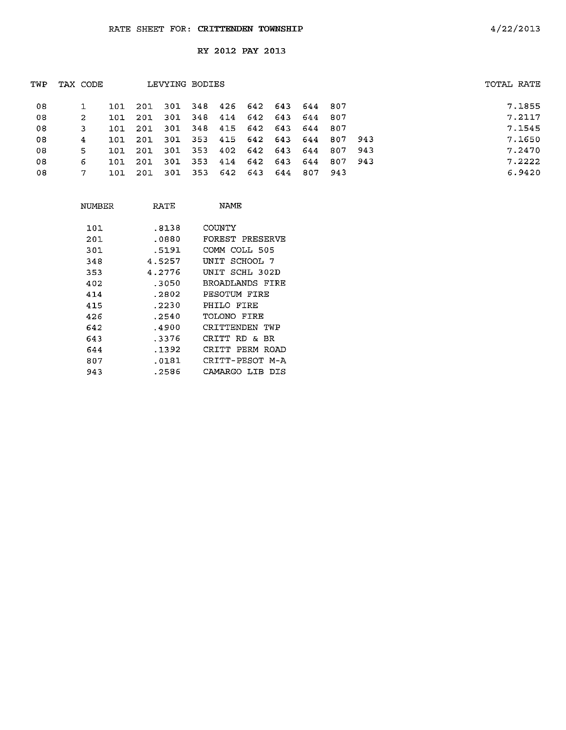| TVP | TAX CODE |            |      | LEVYING BODIES                  |  |  |         |  | TOTAL RATE |
|-----|----------|------------|------|---------------------------------|--|--|---------|--|------------|
| -08 |          | 101        | 201  | 301 348 426 642 643 644 807     |  |  |         |  | 7.1855     |
| -08 | -2       | 101        | -201 | 301 348 414 642 643 644 807     |  |  |         |  | 7.2117     |
| 08  |          | 101        | 201  | 301 348 415 642 643 644 807     |  |  |         |  | 7.1545     |
| 08  | 4        | <b>101</b> | 201  | 301 353 415 642 643 644 807 943 |  |  |         |  | 7.1650     |
| 08  | 5.       | 101        | 201  | 301 353 402 642 643 644 807 943 |  |  |         |  | 7.2470     |
| 08  | 6        | 101        | 201  | 301 353 414 642 643 644 807 943 |  |  |         |  | 7.2222     |
| 08  |          | 101        | -201 | 301 353 642 643 644             |  |  | 807 943 |  | 6.9420     |
|     |          |            |      |                                 |  |  |         |  |            |

| NUMBER | RATE   | NAME                  |
|--------|--------|-----------------------|
| 101    | .8138  | COUNTY                |
| 201    | .0880  | FOREST PRESERVE       |
| 301    | .5191  | COMM COLL 505         |
| 348    | 4.5257 | INIT SCHOOL 7         |
| 353    | 4.2776 | INIT SCHL 302D        |
| 402    | -3050  | BROADLANDS FIRE       |
| 414    | .2802  | PESOTUM FIRE          |
| 415    | . 2230 | PHILO FIRE            |
| 426    | . 2540 | TOLONO FIRE           |
| 642    | .4900  | CRITTENDEN TWP        |
| 643    | 3376   | אם גם הידידות         |
| 644    | . 1392 | CRTTT<br>PERM<br>ROAD |
| 807    | .0181  | CRITT-PESOT M-A       |
| 943    | .2586  | CAMARGO LIB<br>DIS    |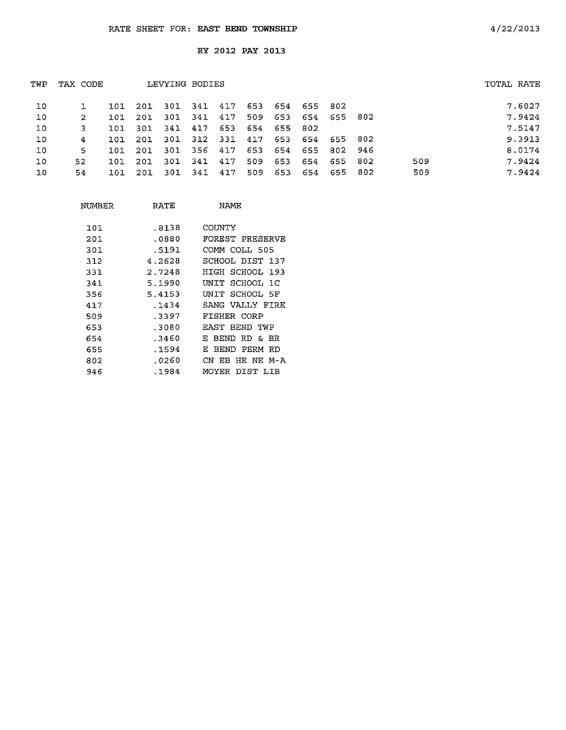| TWP | TAX CODE |     |      | LEVYING BODIES |         |     |     |     |         |             |       |     | TOTAL RATE |
|-----|----------|-----|------|----------------|---------|-----|-----|-----|---------|-------------|-------|-----|------------|
| 10  |          | 101 | 20I  | 301            | 341 417 |     | 653 | 654 | 655 802 |             |       |     | 7.6027     |
| 10  | 2        | 101 | 201  | 301            | 341     | 417 | 509 | 653 |         | 654 655 802 |       |     | 7.9424     |
| 10  | 3        | 101 | 301  | 341            | 417     | 653 | 654 | 655 | 802     |             |       |     | 7.5147     |
| 10  | 4        | 101 | 201  | 301            | 312 331 |     | 417 | 653 |         | 654 655 802 |       |     | 9.3913     |
| 10  | 5.       | 101 | 201. | -301           | 356     | 417 | 653 | 654 | 655.    | 802 946     |       |     | 8.0174     |
| 10  | 52       | 101 | 201  | 301            | -341    | 417 | 509 | 653 | 654     | 655 802     |       | 509 | 7.9424     |
| 10  | 54       | 101 | -201 | -301           | 341     | 417 | 509 | 653 | 654     | 655         | - 802 | 509 | 7.9424     |
|     |          |     |      |                |         |     |     |     |         |             |       |     |            |

| NUMBER | RATE   | NAMF.                   |
|--------|--------|-------------------------|
| 101    | .8138  | COUNTY                  |
| 201    | .0880  | FOREST PRESERVE         |
| 301    | .5191  | COMM COLL 505           |
| 312    | 4.2628 | SCHOOL DIST 137         |
| 331    | 2.7248 | HIGH SCHOOL 193         |
| 341    | 5.1990 | INIT SCHOOL 1C          |
| 356    | 5.4153 | UNIT SCHOOL 5F          |
| 417    | .1434  | SANG VALLY FIRE         |
| 509    | .3397  | FISHER CORP             |
| 653    | .3080  | RAST BEND TWP           |
| 654    | .3460  | RD & BR<br>BEND -<br>E. |
| 655    | .1594  | BEND PERM<br>RD<br>F.   |
| 802    | .0260  | CN EB HE NE M-A         |
| 946    | .1984  | MOYER DIST LIB          |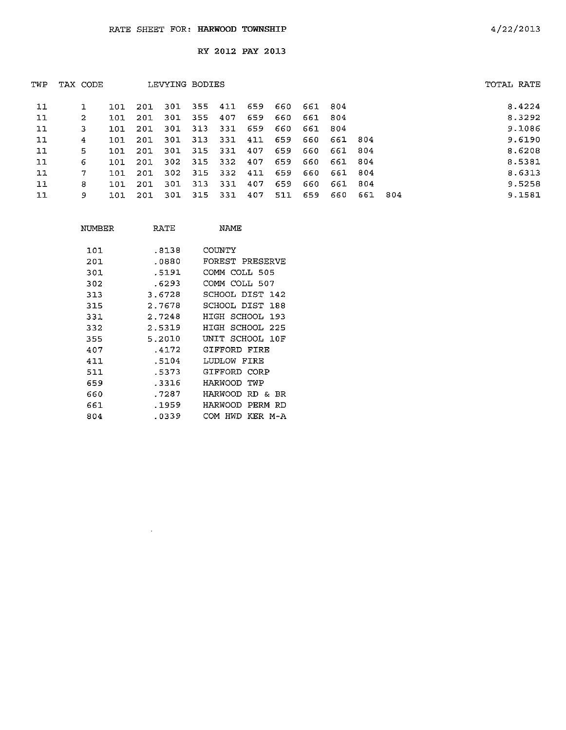| TWP | TAX CODE |     |      | LEVYING BODIES |     |      |     |      |         |         |     |     | TOTAL RATE |
|-----|----------|-----|------|----------------|-----|------|-----|------|---------|---------|-----|-----|------------|
| 11  |          | 101 | -201 | 301            | 355 | 411  | 659 | 660  | 661 804 |         |     |     | 8.4224     |
| 11  | 2        | 101 | 201  | 301            | 355 | 407  | 659 | 660. | 661     | 804     |     |     | 8.3292     |
| 11  | 3        | 101 | 201  | 301            | 313 | 331  | 659 | 660  | 661     | 804     |     |     | 9.1086     |
| 11  | 4        | 101 | 201  | 301            | 313 | 331  | 411 | 659  | 660     | 661 804 |     |     | 9.6190     |
| 11  | 5        | 101 | 201  | 301            | 315 | -331 | 407 | 659  | 660     | 661     | 804 |     | 8,6208     |
| 11  | 6        | 101 | 201  | 302            | 315 | -332 | 407 | 659  | 660     | 661     | 804 |     | 8.5381     |
| 11  | 7        | 101 | -201 | 302            | 315 | -332 | 411 | 659  | 660     | 661 804 |     |     | 8.6313     |
| 11  | 8        | 101 | 201  | 301            | 313 | 331  | 407 | 659  | 660     | 661     | 804 |     | 9.5258     |
| 11  | 9        | 101 | 201  | 301            | 315 | -331 | 407 | 511  | 659     | 660     | 661 | 804 | 9.1581     |

| NUMBER | RATE   | NAME                   |
|--------|--------|------------------------|
| 101    | .8138  | COUNTY                 |
| 201    | .0880  | FOREST PRESERVE        |
| 301    | .5191  | COMM COLL 505          |
| 302    | .6293  | COMM COLL 507          |
| 313    | 3.6728 | SCHOOL DIST<br>142     |
| 315    | 2.7678 | SCHOOL DIST<br>188     |
| 331    | 2.7248 | HIGH SCHOOL<br>193     |
| 332    | 2.5319 | SCHOOL 225<br>HIGH     |
| 355    | 5.2010 | UNIT SCHOOL 10F        |
| 407    | .4172  | GIFFORD FIRE           |
| 411    | .5104  | LUDLOW FIRE            |
| 511    | .5373  | GIFFORD CORP           |
| 659    | .3316  | HARWOOD<br>TWP         |
| 660    | .7287  | HARWOOD<br>RD &<br>BR  |
| 661    | .1959  | HARWOOD<br>PERM<br>RD  |
| 804    | .0339  | HWD.<br>KER M-A<br>COM |

 $\sim$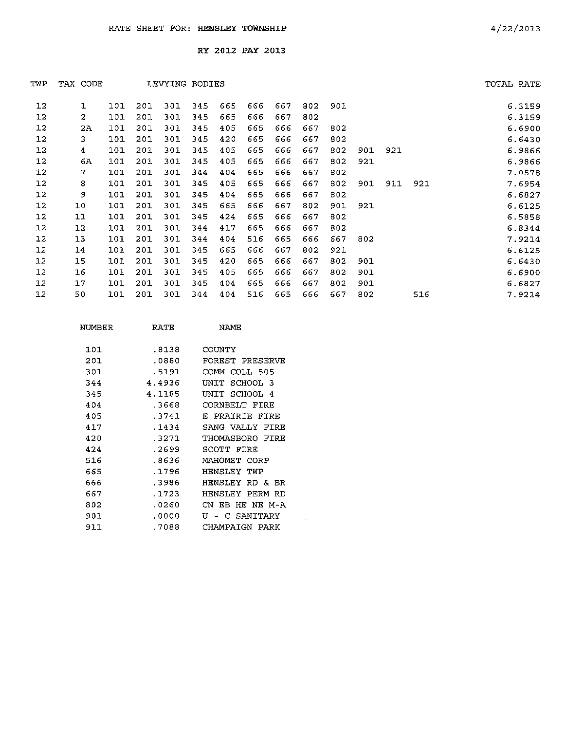| TWP | TAX CODE |     |     | LEVYING BODIES |     |     |     |     |     |     |     |     |     | TOTAL RATE |
|-----|----------|-----|-----|----------------|-----|-----|-----|-----|-----|-----|-----|-----|-----|------------|
| 12  | 1        | 101 | 201 | 301            | 345 | 665 | 666 | 667 | 802 | 901 |     |     |     | 6.3159     |
| 12  | 2        | 101 | 201 | 301            | 345 | 665 | 666 | 667 | 802 |     |     |     |     | 6.3159     |
| 12  | 2A       | 101 | 201 | 301            | 345 | 405 | 665 | 666 | 667 | 802 |     |     |     | 6.6900     |
| 12  | 3        | 101 | 201 | 301            | 345 | 420 | 665 | 666 | 667 | 802 |     |     |     | 6.6430     |
| 12  | 4        | 101 | 201 | 301            | 345 | 405 | 665 | 666 | 667 | 802 | 901 | 921 |     | 6.9866     |
| 12  | 6A       | 101 | 201 | 301            | 345 | 405 | 665 | 666 | 667 | 802 | 921 |     |     | 6.9866     |
| 12  | 7        | 101 | 201 | 301            | 344 | 404 | 665 | 666 | 667 | 802 |     |     |     | 7.0578     |
| 12  | 8        | 101 | 201 | 301            | 345 | 405 | 665 | 666 | 667 | 802 | 901 | 911 | 921 | 7.6954     |
| 12  | 9        | 101 | 201 | 301            | 345 | 404 | 665 | 666 | 667 | 802 |     |     |     | 6.6827     |
| 12  | 10       | 101 | 201 | 301            | 345 | 665 | 666 | 667 | 802 | 901 | 921 |     |     | 6.6125     |
| 12  | $11$     | 101 | 201 | 301            | 345 | 424 | 665 | 666 | 667 | 802 |     |     |     | 6.5858     |
| 12  | 12       | 101 | 201 | 301            | 344 | 417 | 665 | 666 | 667 | 802 |     |     |     | 6.8344     |
| 12  | 13       | 101 | 201 | 301            | 344 | 404 | 516 | 665 | 666 | 667 | 802 |     |     | 7.9214     |
| 12  | 14       | 101 | 201 | 301            | 345 | 665 | 666 | 667 | 802 | 921 |     |     |     | 6.6125     |
| 12  | 15       | 101 | 201 | 301            | 345 | 420 | 665 | 666 | 667 | 802 | 901 |     |     | 6.6430     |
| 12  | 16       | 101 | 201 | 301            | 345 | 405 | 665 | 666 | 667 | 802 | 901 |     |     | 6.6900     |
| 12  | 17       | 101 | 201 | 301            | 345 | 404 | 665 | 666 | 667 | 802 | 901 |     |     | 6.6827     |
| 12  | 50       | 101 | 201 | 301            | 344 | 404 | 516 | 665 | 666 | 667 | 802 |     | 516 | 7.9214     |
|     |          |     |     |                |     |     |     |     |     |     |     |     |     |            |

 $\sim 10^{-1}$ 

| NUMBER | RATE   | NAMF                    |
|--------|--------|-------------------------|
| 101    | .8138  | COUNTY                  |
| 201    | . 0880 | FOREST PRESERVE         |
| 301    | .5191  | COMM COLL 505           |
| 344    | 4.4936 | UNTT<br>SCHOOL 3        |
| 345    | 4.1185 | SCHOOL 4<br>INTT.       |
| 404    | -3668  | CORNBELT FIRE           |
| 405    | .3741  | E PRATRIE FIRE          |
| 417    | .1434  | SANG VALLY<br>FTRE      |
| 420    | .3271  | THOMASBORO FIRE         |
| 424    | .2699  | SCOTT FIRE              |
| 516    | .8636  | MAHOMET CORP            |
| 665    | .1796  | HENSLEY<br>TWP          |
| 666    | -3986  | HENSLEY.<br>RD &<br>BR. |
| 667    | .1723  | HENSLEY<br>PERM<br>RD   |
| 802    | .0260  | HE NE M-A<br>ΩV.<br>FB. |
| 901    | . 0000 | SANTTARY<br>T٦<br>┌     |
| 911    | .7088  | CHAMPAIGN<br>PARK       |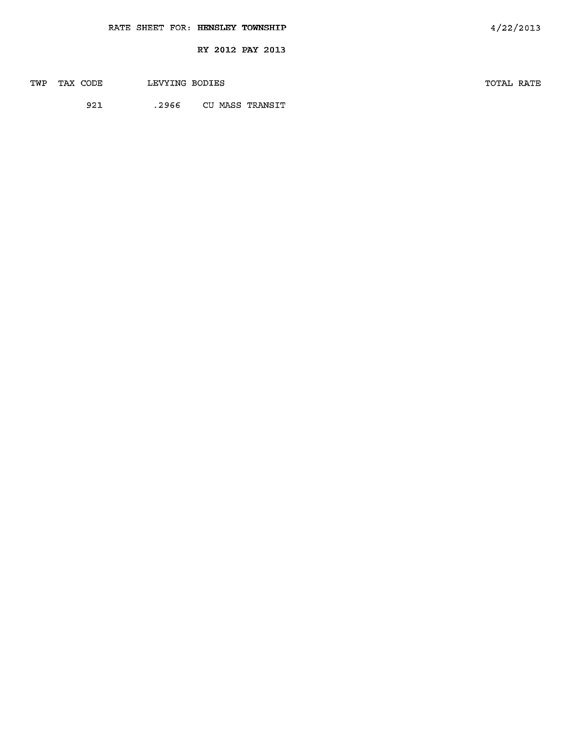|  |  | RATE SHEET FOR: HENSLEY TOWNSHIP | 4/22/2013 |
|--|--|----------------------------------|-----------|
|  |  | RY 2012 PAY 2013                 |           |
|  |  |                                  |           |

| TWP | TAX CODE | LEVYING BODIES |                       | TOTAL RATE |  |
|-----|----------|----------------|-----------------------|------------|--|
|     | 921      |                | .2966 CU MASS TRANSIT |            |  |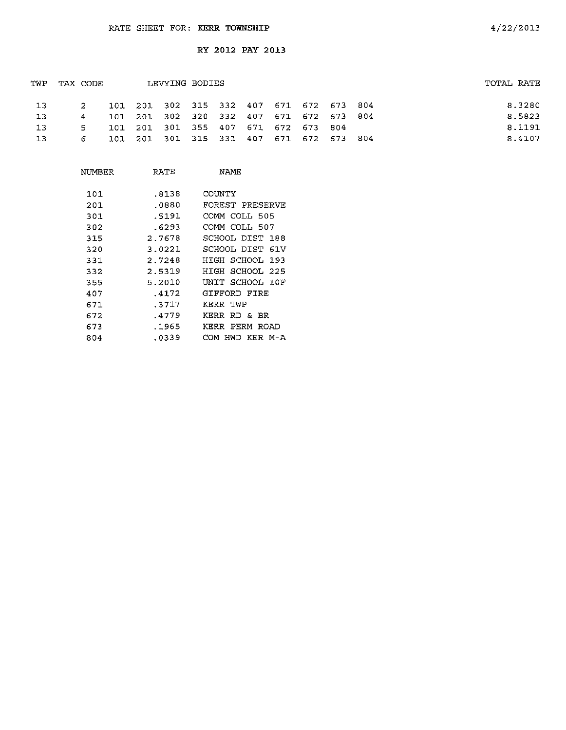| TWP             | TAX CODE |       |  | LEVYING BODIES                          |  |  |  | TOTAL RATE |
|-----------------|----------|-------|--|-----------------------------------------|--|--|--|------------|
| $\overline{13}$ |          | 2     |  | 101 201 302 315 332 407 671 672 673 804 |  |  |  | 8.3280     |
| -13             |          | 4     |  | 101 201 302 320 332 407 671 672 673 804 |  |  |  | 8.5823     |
| 13              |          | $5 -$ |  | 101 201 301 355 407 671 672 673 804     |  |  |  | 8.1191     |
| 13              |          | 6     |  | 101 201 301 315 331 407 671 672 673 804 |  |  |  | 8.4107     |

| NUMBER | RATE   | NAME               |
|--------|--------|--------------------|
| 101    | .8138  | COUNTY             |
| 201    | .0880  | FOREST PRESERVE    |
| 301    | .5191  | COMM COLL 505      |
| 302    | .6293  | COMM COLL 507      |
| 315    | 2.7678 | SCHOOL DIST 188    |
| 320    | 3.0221 | SCHOOL DIST 61V    |
| 331    | 2.7248 | HIGH SCHOOL<br>193 |
| 332    | 2.5319 | SCHOOL 225<br>HIGH |
| 355    | 5.2010 | UNIT SCHOOL 10F    |
| 407    | .4172  | GIFFORD FIRE       |
| 671    | .3717  | KERR TWP           |
| 672    | .4779  | KERR<br>RD & BR    |
| 673    | .1965  | PERM ROAD<br>KERR  |
| 804    | .0339  | HWD KER M-A<br>COM |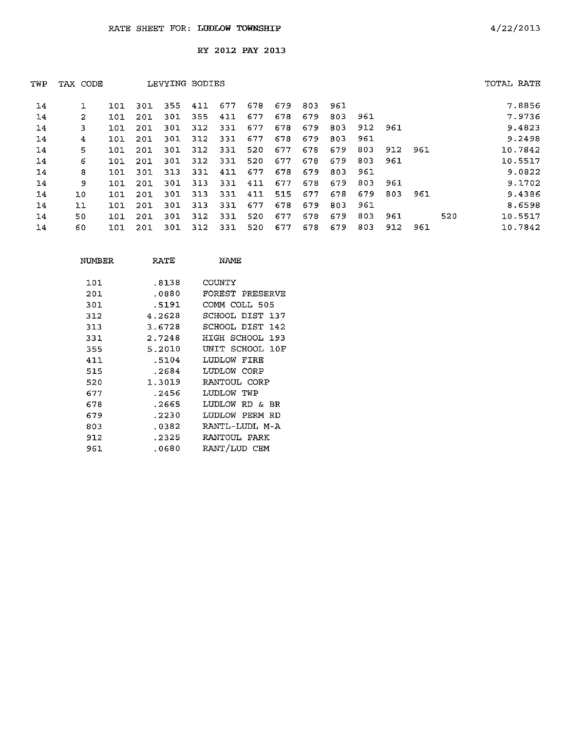| TWP | TAX CODE |     |     | LEVYING BODIES |     |     |     |     |     |     |     |     |     |     | TOTAL RATE |
|-----|----------|-----|-----|----------------|-----|-----|-----|-----|-----|-----|-----|-----|-----|-----|------------|
| 14  |          | 101 | 301 | 355            | 411 | 677 | 678 | 679 | 803 | 961 |     |     |     |     | 7.8856     |
| 14  | 2        | 101 | 201 | 301            | 355 | 411 | 677 | 678 | 679 | 803 | 961 |     |     |     | 7.9736     |
| 14  | 3        | 101 | 201 | 301            | 312 | 331 | 677 | 678 | 679 | 803 | 912 | 961 |     |     | 9.4823     |
| 14  | 4        | 101 | 201 | 301            | 312 | 331 | 677 | 678 | 679 | 803 | 961 |     |     |     | 9.2498     |
| 14  | 5        | 101 | 201 | 301            | 312 | 331 | 520 | 677 | 678 | 679 | 803 | 912 | 961 |     | 10.7842    |
| 14  | 6        | 101 | 201 | 301            | 312 | 331 | 520 | 677 | 678 | 679 | 803 | 961 |     |     | 10.5517    |
| 14  | 8        | 101 | 301 | 313            | 331 | 411 | 677 | 678 | 679 | 803 | 961 |     |     |     | 9.0822     |
| 14  | 9        | 101 | 201 | 301            | 313 | 331 | 411 | 677 | 678 | 679 | 803 | 961 |     |     | 9.1702     |
| 14  | 10       | 101 | 201 | 301            | 313 | 331 | 411 | 515 | 677 | 678 | 679 | 803 | 961 |     | 9.4386     |
| 14  | 11       | 101 | 201 | 301            | 313 | 331 | 677 | 678 | 679 | 803 | 961 |     |     |     | 8.6598     |
| 14  | 50       | 101 | 201 | 301            | 312 | 331 | 520 | 677 | 678 | 679 | 803 | 961 |     | 520 | 10.5517    |
| 14  | 60       | 101 | 201 | 301            | 312 | 331 | 520 | 677 | 678 | 679 | 803 | 912 | 961 |     | 10.7842    |

| NUMBER | RATE   | NAMF            |
|--------|--------|-----------------|
| 101    | 8138   | COUNTY          |
| 201    | .0880  | FOREST PRESERVE |
| 301    | .5191  | COMM COLL 505   |
| 312    | 4.2628 | SCHOOL DIST 137 |
| 313    | 3.6728 | SCHOOL DIST 142 |
| 331    | 2.7248 | HIGH SCHOOL 193 |
| 355    | 5.2010 | UNIT SCHOOL 10F |
| 411    | .5104  | LUDLOW FIRE     |
| 515    | .2684  | LUDLOW CORP     |
| 520    | 1.3019 | RANTOUL CORP    |
| 677    | .2456  | LUDLOW TWP      |
| 678    | .2665  | LUDLOW RD & BR  |
| 679    | .2230  | LUDLOW PERM RD  |
| 803    | .0382  | RANTL-LUDL M-A  |
| 912    | .2325  | RANTOUL PARK    |
| 961    | .0680  | RANT/LUD CEM    |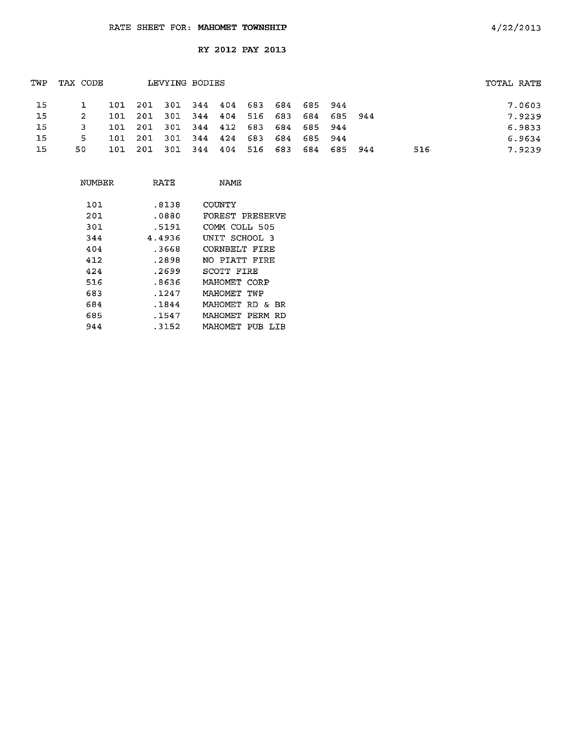| TWP | TAX CODE |      |                                         | LEVYING BODIES |     |     |         |                             |             |     | TOTAL RATE |        |
|-----|----------|------|-----------------------------------------|----------------|-----|-----|---------|-----------------------------|-------------|-----|------------|--------|
| -15 |          |      | 101 201 301 344 404 683 684 685 944     |                |     |     |         |                             |             |     |            | 7.0603 |
| 15  |          |      | 101 201 301 344 404 516 683 684 685 944 |                |     |     |         |                             |             |     |            | 7.9239 |
| -15 | 3.       |      | 101 201 301 344 412 683 684 685 944     |                |     |     |         |                             |             |     |            | 6.9833 |
| 15  | 5.       | 101  | - 201                                   |                |     |     |         | 301 344 424 683 684 685 944 |             |     |            | 6.9634 |
| 15  | 50.      | 101. | - 201                                   | - 301          | 344 | 404 | 516 683 |                             | 684 685 944 | 516 |            | 7.9239 |
|     |          |      |                                         |                |     |     |         |                             |             |     |            |        |

| NUMBER | RATE   | NAME                  |
|--------|--------|-----------------------|
| 101    | .8138  | COUNTY                |
| 201    | .0880  | FOREST PRESERVE       |
| 301    | .5191  | COMM COLL 505         |
| 344    | 4.4936 | UNIT SCHOOL 3         |
| 404    | .3668  | CORNBELT FIRE         |
| 412    | .2898  | NO PIATT FIRF         |
| 424    | .2699  | SCOTT FIRE            |
| 516    | .8636  | MAHOMET CORP          |
| 683    | .1247  | MAHOMET TWP           |
| 684    | .1844  | MAHOMET RD & BR       |
| 685    | . 1547 | PERM<br>MAHOMET<br>RD |
| 944    | . 3152 | МАНОМЕТ<br>PUB<br>LIB |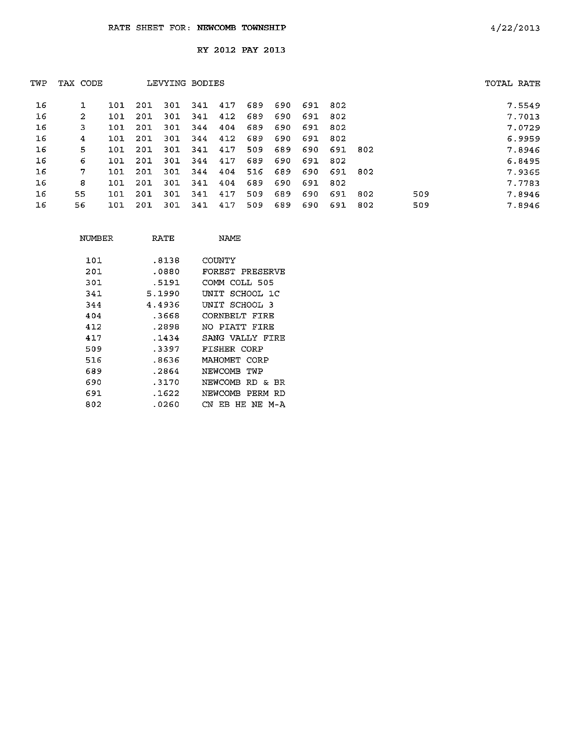| TWP | TAX CODE |   |     |     | LEVYING BODIES |     |     |     |     |     |      |      |     | TOTAL RATE |        |
|-----|----------|---|-----|-----|----------------|-----|-----|-----|-----|-----|------|------|-----|------------|--------|
| 16  |          |   | 101 | 201 | 301            | 341 | 417 | 689 | 690 | 691 | -802 |      |     |            | 7.5549 |
| 16  |          | 2 | 101 | 201 | 301            | 341 | 412 | 689 | 690 | 691 | 802  |      |     |            | 7.7013 |
| 16  |          | з | 101 | 201 | 301            | 344 | 404 | 689 | 690 | 691 | 802  |      |     |            | 7.0729 |
| 16  |          | 4 | 101 | 201 | 301            | 344 | 412 | 689 | 690 | 691 | 802  |      |     |            | 6.9959 |
| 16  |          | 5 | 101 | 201 | 301            | 341 | 417 | 509 | 689 | 690 | 691  | -802 |     |            | 7.8946 |
| 16  |          | 6 | 101 | 201 | 301            | 344 | 417 | 689 | 690 | 691 | 802  |      |     |            | 6.8495 |
| 16  |          | 7 | 101 | 201 | 301            | 344 | 404 | 516 | 689 | 690 | 691  | -802 |     |            | 7.9365 |
| 16  |          | 8 | 101 | 201 | 301            | 341 | 404 | 689 | 690 | 691 | 802  |      |     |            | 7.7783 |
| 16  | 55       |   | 101 | 201 | 301            | 341 | 417 | 509 | 689 | 690 | 691  | 802  | 509 |            | 7.8946 |
| 16  | 56       |   | 101 | 201 | 301            | 341 | 417 | 509 | 689 | 690 | 691  | 802  | 509 |            | 7.8946 |

| NUMBER | RATE   | NAME            |
|--------|--------|-----------------|
| 101    | .8138  | COUNTY          |
| 201    | .0880  | FOREST PRESERVE |
| 301    | .5191  | COMM COLL 505   |
| 341    | 5.1990 | UNIT SCHOOL 1C  |
| 344    | 4.4936 | UNIT SCHOOL 3   |
| 404    | .3668  | CORNBELT FIRE   |
| 412    | .2898  | NO PIATT FIRE   |
| 417    | .1434  | SANG VALLY FIRE |
| 509    | .3397  | FISHER CORP     |
| 516    | .8636  | MAHOMET CORP    |
| 689    | .2864  | NEWCOMB TWP     |
| 690    | .3170  | NEWCOMB RD & BR |
| 691    | .1622  | NEWCOMB PERM RD |
| 802    | .0260  | CN EB HE NE M-A |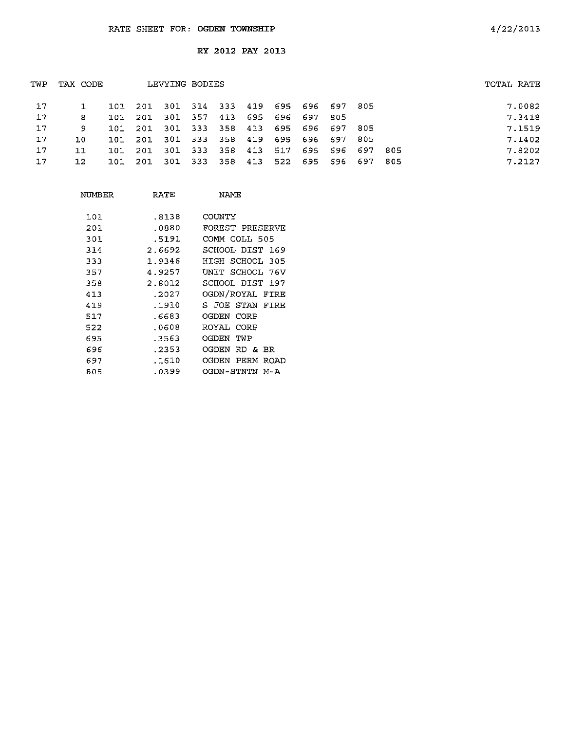| 17<br>201 301 314 333 419 695 696 697 805<br>101                  | 7.0082                       |
|-------------------------------------------------------------------|------------------------------|
| 357<br>413<br>695 696 697<br>17<br>-301<br>201<br>8<br>101        | 7.3418<br>-805               |
| 17<br>301 333 358 413<br>695 696 697 805<br>201<br>9<br>101       | 7.1519                       |
| 17<br>301 333<br>358 419<br>695<br>696 697<br>201<br>101.<br>J.O. | 7.1402<br>805                |
| 17<br>333<br>358<br>413<br>301<br>517<br>201<br>71<br>101         | 7.8202<br>695 696 697<br>805 |
| 17<br>301 333 358<br>413<br>522 695 696 697<br>201<br>12.<br>101  | 7.2127<br>-805               |

| NUMBER | RATE   | NAME                  |
|--------|--------|-----------------------|
| 101    | .8138  | COUNTY                |
| 201    | .0880  | FOREST PRESERVE       |
| 301    | .5191  | COMM COLL 505         |
| 314    | 2.6692 | SCHOOL DIST 169       |
| 333    | 1.9346 | HIGH SCHOOL 305       |
| 357    | 4.9257 | UNIT SCHOOL 76V       |
| 358    | 2.8012 | SCHOOL DIST 197       |
| 413    | .2027  | OGDN/ROYAL FIRE       |
| 419    | .1910  | S JOE STAN FIRE       |
| 517    | .6683  | OGDEN CORP            |
| 522    | .0608  | ROYAL CORP            |
| 695    | .3563  | OGDEN TWP             |
| 696    | .2353  | OGDEN RD & BR         |
| 697    | .1610  | OGDEN<br>PERM<br>ROAD |
| 805    | .0399  | OGDN-STNTN M-A        |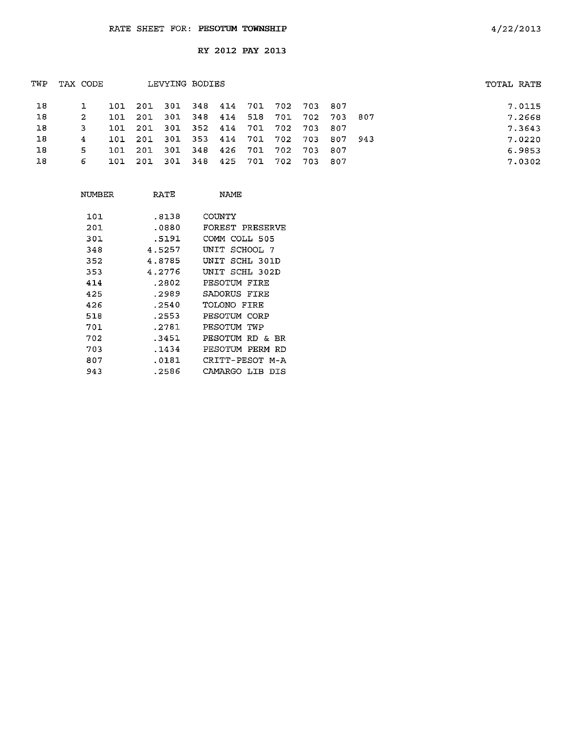| TWP | TAX CODE |       |                                     | LEVYING BODIES              |  |  |                                         | TOTAL RATE |        |
|-----|----------|-------|-------------------------------------|-----------------------------|--|--|-----------------------------------------|------------|--------|
| 18  |          |       | 101 201 301 348 414 701 702 703 807 |                             |  |  |                                         |            | 7.0115 |
| 18  | 2        | 101   | 201                                 |                             |  |  | 301 348 414 518 701 702 703 807         |            | 7.2668 |
| 18  | 3.       | 101   | 201 301 352 414 701 702 703 807     |                             |  |  |                                         |            | 7.3643 |
| 18  | 4        |       |                                     |                             |  |  | 101 201 301 353 414 701 702 703 807 943 |            | 7.0220 |
| 18  | 5.       | 101 I | 201                                 | 301 348 426 701 702 703 807 |  |  |                                         |            | 6.9853 |
| 18  | 6        |       | 101 201 301 348 425 701 702 703 807 |                             |  |  |                                         |            | 7.0302 |
|     |          |       |                                     |                             |  |  |                                         |            |        |

| NIMBER | RATE   | NAMF               |
|--------|--------|--------------------|
| 101    | 8138   | COUNTY             |
| 201    | .0880  | FOREST PRESERVE    |
| 301    | .5191  | COMM COLL 505      |
| 348    | 4.5257 | SCHOOL 7<br>UNIT   |
| 352    | 4.8785 | UNIT<br>SCHL 301D  |
| 353    | 4.2776 | SCHL 302D<br>UNIT  |
| 414    | .2802  | PESOTUM FIRE       |
| 425    | .2989  | SADORUS FIRE       |
| 426    | .2540  | TOLONO FIRE        |
| 518    | .2553  | PESOTUM CORP       |
| 701    | .2781  | PESOTUM TWP        |
| 702    | .3451  | PESOTIM RD & BR    |
| 703    | .1434  | PESOTUM PERM RD    |
| 807    | .0181  | CRITT-PESOT M-A    |
| 943    | .2586  | CAMARGO LIB<br>פדת |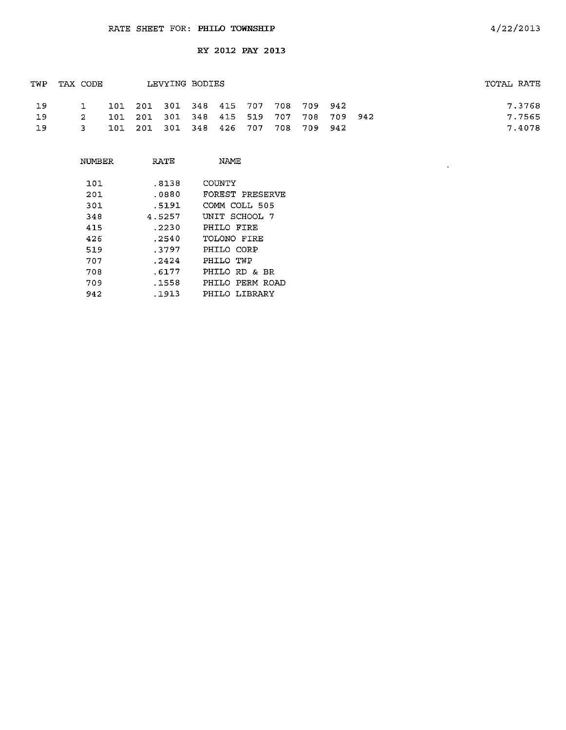|           |                                 |  |  |                |  |                                                                            | TOTAL RATE                              |
|-----------|---------------------------------|--|--|----------------|--|----------------------------------------------------------------------------|-----------------------------------------|
|           |                                 |  |  |                |  |                                                                            | 7.3768                                  |
|           |                                 |  |  |                |  |                                                                            | 7.7565                                  |
|           |                                 |  |  |                |  |                                                                            | 7.4078                                  |
| <b>19</b> | TAX CODE<br>2<br>$\overline{3}$ |  |  | LEVYING BODIES |  | 101 201 301 348 415 707 708 709 942<br>101 201 301 348 426 707 708 709 942 | 101 201 301 348 415 519 707 708 709 942 |

| NUMBER | RATE   | <b>NAME</b>     |
|--------|--------|-----------------|
| 101    | .8138  | COUNTY          |
| 201    | .0880  | FOREST PRESERVE |
| 301    | .5191  | COMM COLL 505   |
| 348    | 4 5257 | UNIT SCHOOL 7   |
| 415    | .2230  | PHILO FIRE      |
| 426    | .2540  | TOLONO FIRE     |
| 519    | .3797  | PHILO CORP      |
| 707    | .2424  | PHILO TWP       |
| 708    | .6177  | PHILO RD & BR   |
| 709    | .1558  | PHILO PERM ROAD |
| 942    | .1913  | PHILO LIBRARY   |

 $\sim$   $\sim$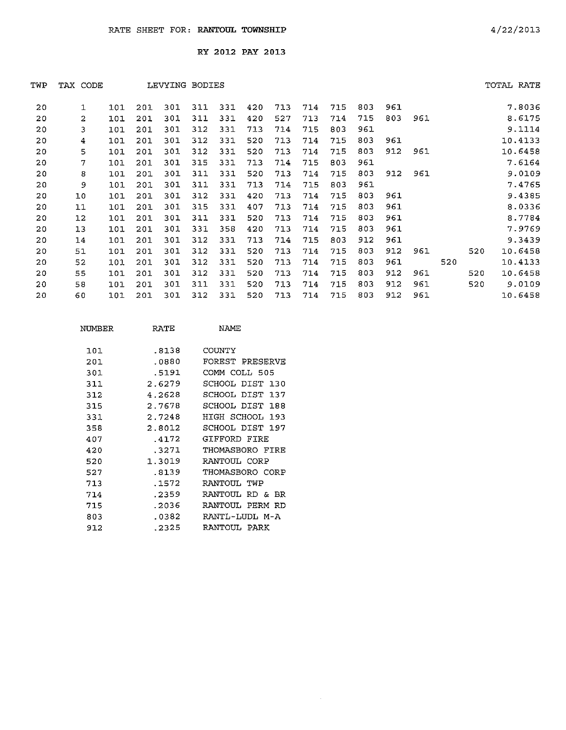| TWP | TAX<br>CODE |     |     | LEVYING BODIES |     |     |     |     |     |     |     |     |     |     |     | TOTAL RATE |
|-----|-------------|-----|-----|----------------|-----|-----|-----|-----|-----|-----|-----|-----|-----|-----|-----|------------|
| 20  | 1           | 101 | 201 | 301            | 311 | 331 | 420 | 713 | 714 | 715 | 803 | 961 |     |     |     | 7.8036     |
| 20  | 2           | 101 | 201 | 301            | 311 | 331 | 420 | 527 | 713 | 714 | 715 | 803 | 961 |     |     | 8.6175     |
| 20  | 3           | 101 | 201 | 301            | 312 | 331 | 713 | 714 | 715 | 803 | 961 |     |     |     |     | 9.1114     |
| 20  | 4           | 101 | 201 | 301            | 312 | 331 | 520 | 713 | 714 | 715 | 803 | 961 |     |     |     | 10.4133    |
| 20  | 5           | 101 | 201 | 301            | 312 | 331 | 520 | 713 | 714 | 715 | 803 | 912 | 961 |     |     | 10.6458    |
| 20  | 7           | 101 | 201 | 301            | 315 | 331 | 713 | 714 | 715 | 803 | 961 |     |     |     |     | 7.6164     |
| 20  | 8           | 101 | 201 | 301            | 311 | 331 | 520 | 713 | 714 | 715 | 803 | 912 | 961 |     |     | 9.0109     |
| 20  | 9           | 101 | 201 | 301            | 311 | 331 | 713 | 714 | 715 | 803 | 961 |     |     |     |     | 7.4765     |
| 20  | 10          | 101 | 201 | 301            | 312 | 331 | 420 | 713 | 714 | 715 | 803 | 961 |     |     |     | 9.4385     |
| 20  | 11          | 101 | 201 | 301            | 315 | 331 | 407 | 713 | 714 | 715 | 803 | 961 |     |     |     | 8.0336     |
| 20  | 12          | 101 | 201 | 301            | 311 | 331 | 520 | 713 | 714 | 715 | 803 | 961 |     |     |     | 8.7784     |
| 20  | 13          | 101 | 201 | 301            | 331 | 358 | 420 | 713 | 714 | 715 | 803 | 961 |     |     |     | 7.9769     |
| 20  | 14          | 101 | 201 | 301            | 312 | 331 | 713 | 714 | 715 | 803 | 912 | 961 |     |     |     | 9.3439     |
| 20  | 51          | 101 | 201 | 301            | 312 | 331 | 520 | 713 | 714 | 715 | 803 | 912 | 961 |     | 520 | 10.6458    |
| 20  | 52          | 101 | 201 | 301            | 312 | 331 | 520 | 713 | 714 | 715 | 803 | 961 |     | 520 |     | 10.4133    |
| 20  | 55          | 101 | 201 | 301            | 312 | 331 | 520 | 713 | 714 | 715 | 803 | 912 | 961 |     | 520 | 10.6458    |
| 20  | 58          | 101 | 201 | 301            | 311 | 331 | 520 | 713 | 714 | 715 | 803 | 912 | 961 |     | 520 | 9.0109     |
| 20  | 60          | 101 | 201 | 301            | 312 | 331 | 520 | 713 | 714 | 715 | 803 | 912 | 961 |     |     | 10.6458    |
|     |             |     |     |                |     |     |     |     |     |     |     |     |     |     |     |            |

| NUMBER | RATE   | NAMF                   |  |  |  |  |  |
|--------|--------|------------------------|--|--|--|--|--|
| 101    | .8138  | COUNTY                 |  |  |  |  |  |
| 201    | .0880  | FOREST PRESERVE        |  |  |  |  |  |
| 301    | .5191  | COMM COLL 505          |  |  |  |  |  |
| 311    | 2.6279 | SCHOOL DIST<br>130     |  |  |  |  |  |
| 312    | 4.2628 | SCHOOL DIST 137        |  |  |  |  |  |
| 315    | 2.7678 | SCHOOL DIST 188        |  |  |  |  |  |
| 331    | 2.7248 | HIGH SCHOOL<br>193     |  |  |  |  |  |
| 358    | 2.8012 | SCHOOL DIST 197        |  |  |  |  |  |
| 407    | .4172  | GIFFORD FIRE           |  |  |  |  |  |
| 420    | .3271  | THOMASBORO FIRE        |  |  |  |  |  |
| 520    | 1.3019 | RANTOUL CORP           |  |  |  |  |  |
| 527    | .8139  | THOMASBORO CORP        |  |  |  |  |  |
| 713    | .1572  | RANTOUL TWP            |  |  |  |  |  |
| 714    | .2359  | RANTOUL.<br>RD &<br>ΒR |  |  |  |  |  |
| 715    | .2036  | PERM<br>RANTOUL.<br>RD |  |  |  |  |  |
| 803    | .0382  | RANTI - LIDI, M-A      |  |  |  |  |  |
| 912    | .2325  | RANTOUL PARK           |  |  |  |  |  |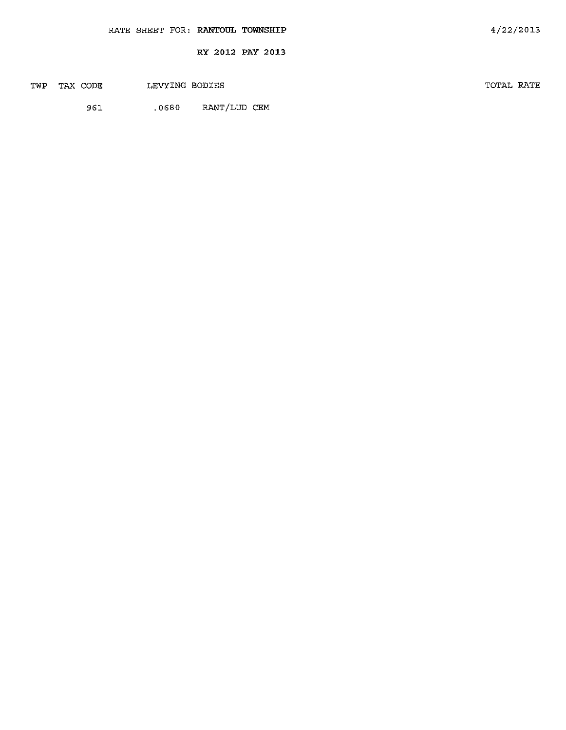|  | RATE SHEET FOR: RANTOUL TOWNSHIP |                  | 4/22/2013 |  |
|--|----------------------------------|------------------|-----------|--|
|  |                                  | RY 2012 PAY 2013 |           |  |

TWP TAX CODE LEVYING BODIES TOTAL RATE

96l .0680 RANT/LUD CEM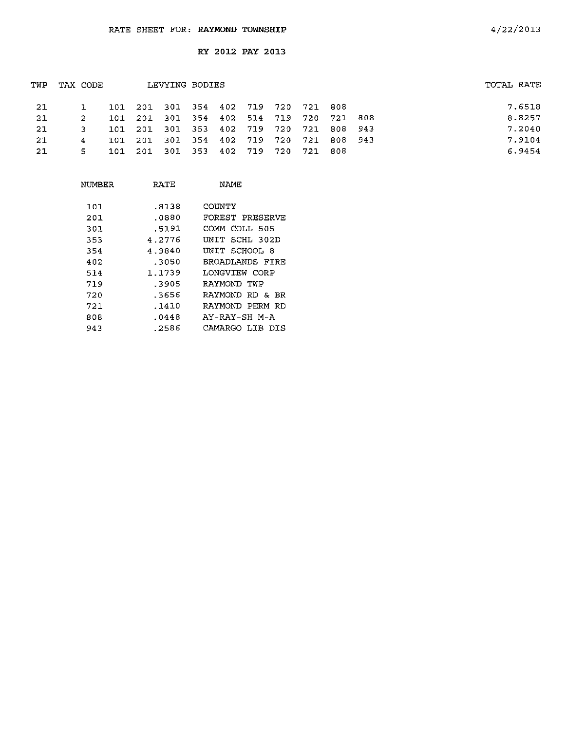|    |            |          |      |                            |                |             |                                |                        |                                               | TOTAL RATE                         |
|----|------------|----------|------|----------------------------|----------------|-------------|--------------------------------|------------------------|-----------------------------------------------|------------------------------------|
|    |            |          |      |                            |                |             |                                |                        |                                               | 7.6518                             |
| 2  | 101.       | 201      |      |                            |                |             |                                | 721                    |                                               | 8.8257                             |
|    | <b>101</b> |          |      |                            |                |             |                                |                        |                                               | 7.2040                             |
| 4  | ากา        | 201      | -301 |                            |                |             |                                |                        |                                               | 7.9104                             |
| 5. | 101        |          |      |                            |                |             |                                | 808                    |                                               | 6.9454                             |
|    |            | TAX CODE | 101  | 201 301 353<br>201 301 353 | LEVYING BODIES | 354 402 719 | 301 354 402 514 719<br>402 719 | 720<br>402 719 720 721 | 201 301 354 402 719 720 721 808<br>720<br>721 | -808<br>720 721 808 943<br>808 943 |

| NUMBER | RATE   | NAME               |
|--------|--------|--------------------|
| 101    | .8138  | COUNTY             |
| 201    | .0880  | FOREST PRESERVE    |
| 301    | .5191  | COMM COLL 505      |
| 353    | 4.2776 | SCHL 302D<br>UNIT  |
| 354    | 4.9840 | UNIT SCHOOL 8      |
| 402    | .3050  | BROADLANDS FIRE    |
| 514    | 1.1739 | LONGVTEW CORP      |
| 719    | -3905  | RAYMOND TWP        |
| 720    | .3656  | RAYMOND RD & BR    |
| 721    | .1410  | RAYMOND PERM RD    |
| 808    | . 0448 | AY-RAY-SH M-A      |
| 943    | .2586  | CAMARGO LIB<br>DIS |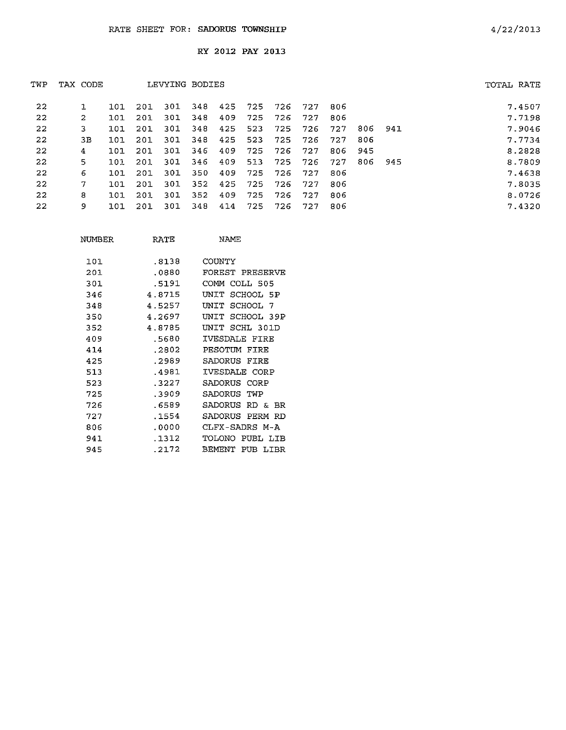| TWP     | TAX CODE |     |     | LEVYING BODIES |     |     |      |     |     |     |      |     | TOTAL RATE |
|---------|----------|-----|-----|----------------|-----|-----|------|-----|-----|-----|------|-----|------------|
| $22 \,$ |          | 101 | 201 | 301            | 348 | 425 | -725 | 726 | 727 | 806 |      |     | 7.4507     |
| 22      | 2        | 101 | 201 | 301            | 348 | 409 | 725  | 726 | 727 | 806 |      |     | 7.7198     |
| 22      | 3        | 101 | 201 | 301            | 348 | 425 | 523  | 725 | 726 | 727 | 806  | 941 | 7.9046     |
| 22      | 3В.      | 101 | 201 | 301            | 348 | 425 | 523  | 725 | 726 | 727 | 806  |     | 7.7734     |
| 22      | 4        | 101 | 201 | 301            | 346 | 409 | 725  | 726 | 727 | 806 | -945 |     | 8.2828     |
| 22      | 5        | 101 | 201 | 301            | 346 | 409 | 513  | 725 | 726 | 727 | 806  | 945 | 8.7809     |
| 22      | 6        | 101 | 201 | 301            | 350 | 409 | 725  | 726 | 727 | 806 |      |     | 7.4638     |
| 22      | 7        | 101 | 201 | 301            | 352 | 425 | 725  | 726 | 727 | 806 |      |     | 7.8035     |
| 22      | 8        | 101 | 201 | 301            | 352 | 409 | 725  | 726 | 727 | 806 |      |     | 8.0726     |
| 22      | 9        | 101 | 201 | 301            | 348 | 414 | 725  | 726 | 727 | 806 |      |     | 7.4320     |

| NUMBER | RATE   | NAME.                        |
|--------|--------|------------------------------|
| 101    | .8138  | COUNTY                       |
| 201    | .0880  | FOREST PRESERVE              |
| 301    | .5191  | COMM COLL 505                |
| 346    | 4.8715 | SCHOOL 5P<br>UNTT            |
| 348    | 4.5257 | INIT.<br>SCHOOL 7            |
| 350    | 4.2697 | SCHOOL 39P<br>UNIT           |
| 352    | 4.8785 | SCHL 301D<br>TNTT.           |
| 409    | .5680  | IVESDALE FIRE                |
| 414    | .2802  | PESOTUM FIRE                 |
| 425    | .2989  | SADORUS<br>FIRE              |
| 513    | .4981  | IVESDALE CORP                |
| 523    | .3227  | SADORUS<br>CORP              |
| 725    | .3909  | SADORUS<br>TWP               |
| 726    | .6589  | SADORUS<br>RD &<br><b>BR</b> |
| 727    | .1554  | SADORUS PERM RD              |
| 806    | .0000  | CLFX-SADRS M-A               |
| 94 1   | .1312  | PUBL LIB<br>TOLONO           |
| 945    | .2172  | BEMENT<br>PUB LIBR           |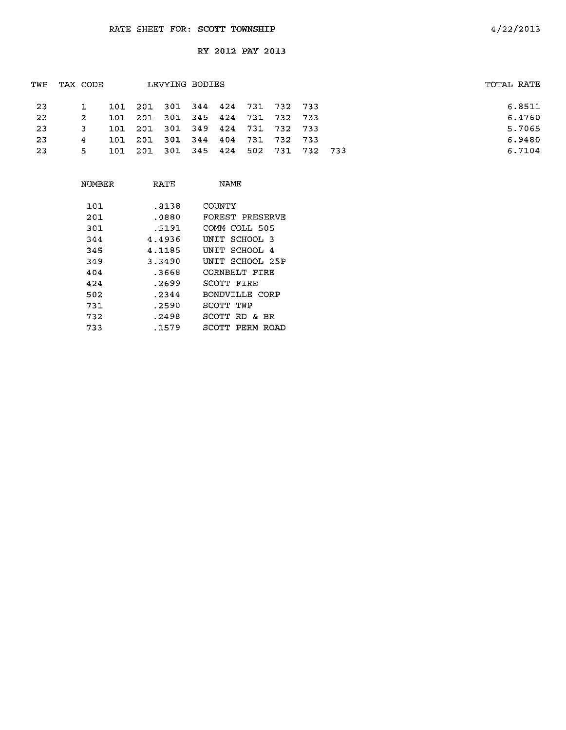| TOTAL RATE |
|------------|
| 6.8511     |
| 6.4760     |
| 5.7065     |
| 6.9480     |
| 6.7104     |
|            |

| NUMBER | RATE   | NAME                  |
|--------|--------|-----------------------|
| 101    | .8138  | COUNTY                |
| 201    | .0880  | FOREST PRESERVE       |
| 301    | .5191  | COMM COLL 505         |
| 344    | 4.4936 | UNIT SCHOOL 3         |
| 345    | 4.1185 | UNIT SCHOOL 4         |
| 349    | 3.3490 | UNIT SCHOOL 25P       |
| 404    | .3668  | CORNBELT FIRE         |
| 424    | .2699  | SCOTT FIRE            |
| 502    | .2344  | BONDVILLE CORP        |
| 731    | .2590  | SCOTT TWP             |
| 732    | .2498  | SCOTT RD & BR         |
| 733    | .1579  | SCOTT<br>PERM<br>ROAD |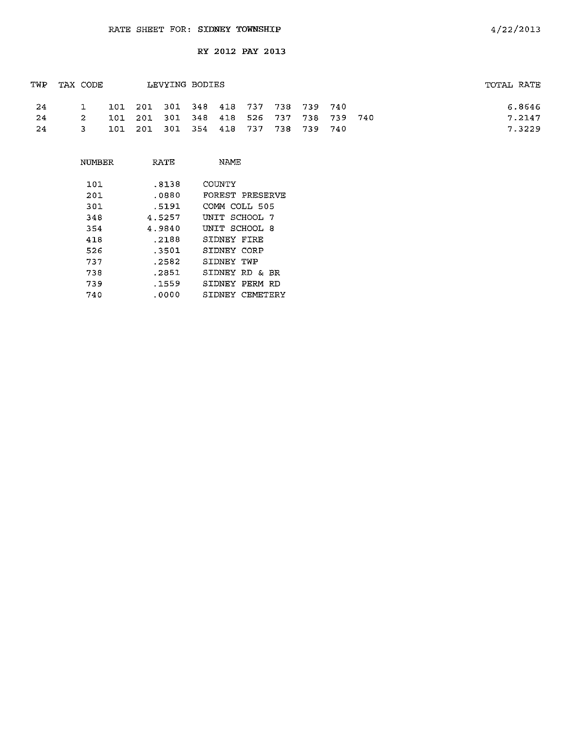| TWP | TAX CODE     |  | LEVYING BODIES                          |  |  |  | TOTAL RATE |
|-----|--------------|--|-----------------------------------------|--|--|--|------------|
| -24 |              |  | 101 201 301 348 418 737 738 739 740     |  |  |  | 6.8646     |
| -24 | 2            |  | 101 201 301 348 418 526 737 738 739 740 |  |  |  | 7.2147     |
| 24  | $\mathbf{3}$ |  | 101 201 301 354 418 737 738 739 740     |  |  |  | 7.3229     |

| NUMBER | RATE   | NAMF               |
|--------|--------|--------------------|
| 101    | .8138  | COINTY             |
| 201.   | . 0880 | FOREST PRESERVE    |
| 301    | .5191  | COMM COLL 505      |
| 348    | 4.5257 | UNIT SCHOOL 7      |
| 354    | 4.9840 | UNIT SCHOOL 8      |
| 418    | .2188  | SIDNEY FIRE        |
| 526    | .3501  | SIDNEY CORP        |
| 737    | .2582  | STDNEY TWP         |
| 738    | .2851  | SIDNEY RD & BR     |
| 739    | .1559  | SIDNEY PERM<br>-RD |
| 740    | .0000  | CEMETERY<br>SIDNEY |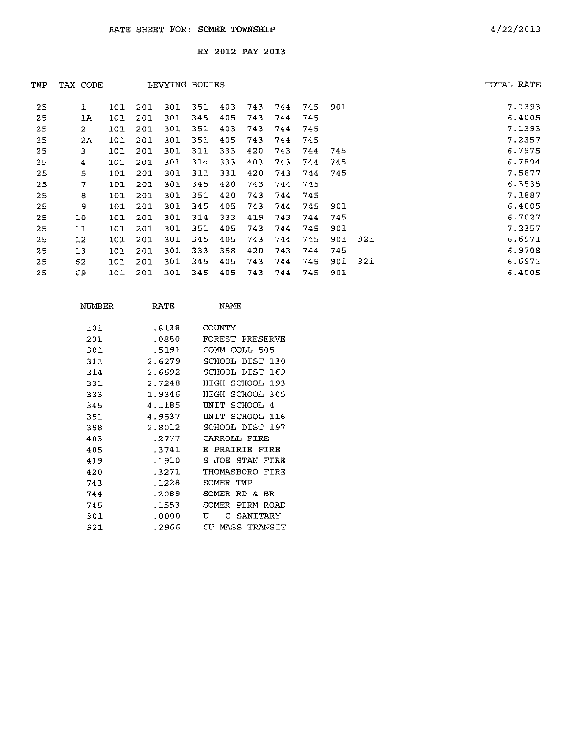| TWP | TAX CODE |     |     |     | LEVYING BODIES |     |     |     |     |     |     | TOTAL RATE |
|-----|----------|-----|-----|-----|----------------|-----|-----|-----|-----|-----|-----|------------|
| 25  | 1        | 101 | 201 | 30I | 351            | 403 | 743 | 744 | 745 | 901 |     | 7.1393     |
| 25  | 1A       | 101 | 201 | 301 | 345            | 405 | 743 | 744 | 745 |     |     | 6.4005     |
| 25  | 2        | 101 | 201 | 301 | 351            | 403 | 743 | 744 | 745 |     |     | 7.1393     |
| 25  | 2A       | 101 | 201 | 301 | 351            | 405 | 743 | 744 | 745 |     |     | 7.2357     |
| 25  | 3        | 101 | 201 | 301 | 311            | 333 | 420 | 743 | 744 | 745 |     | 6.7975     |
| 25  | 4        | 101 | 201 | 301 | 314            | 333 | 403 | 743 | 744 | 745 |     | 6.7894     |
| 25  | 5        | 101 | 201 | 301 | 311            | 331 | 420 | 743 | 744 | 745 |     | 7.5877     |
| 25  | 7        | 101 | 201 | 301 | 345            | 420 | 743 | 744 | 745 |     |     | 6.3535     |
| 25  | 8        | 101 | 201 | 301 | 351            | 420 | 743 | 744 | 745 |     |     | 7.1887     |
| 25  | 9        | 101 | 201 | 301 | 345            | 405 | 743 | 744 | 745 | 901 |     | 6.4005     |
| 25  | 10       | 101 | 201 | 301 | 314            | 333 | 419 | 743 | 744 | 745 |     | 6.7027     |
| 25  | 11       | 101 | 201 | 301 | 351            | 405 | 743 | 744 | 745 | 901 |     | 7.2357     |
| 25  | 12       | 101 | 201 | 301 | 345            | 405 | 743 | 744 | 745 | 901 | 921 | 6.6971     |
| 25  | 13       | 101 | 201 | 301 | 333            | 358 | 420 | 743 | 744 | 745 |     | 6.9708     |
| 25  | 62       | 101 | 201 | 301 | 345            | 405 | 743 | 744 | 745 | 901 | 921 | 6.6971     |
| 25  | 69       | 101 | 201 | 301 | 345            | 405 | 743 | 744 | 745 | 901 |     | 6.4005     |

| NUMBER | RATE   | NAME                   |
|--------|--------|------------------------|
| 1.01.  | .8138  | COUNTY                 |
| 201    | .0880  | FOREST PRESERVE        |
| 301    | .5191  | COMM COLL 505          |
| 311    | 2.6279 | SCHOOL DIST<br>130     |
| 314    | 2.6692 | SCHOOL DIST<br>169     |
| 331    | 2.7248 | HIGH<br>SCHOOL<br>193  |
| 333    | 1.9346 | SCHOOL 305<br>HIGH     |
| 345    | 4.1185 | SCHOOL<br>ידותו<br>4   |
| 351    | 4.9537 | SCHOOL<br>דדותז<br>116 |
| 358    | 2.8012 | SCHOOL DIST<br>197     |
| 403    | .2777  | CARROLL FIRE           |
| 405    | .3741  | PRAIRIE FIRE<br>F.     |
| 419    | .1910  | S JOE STAN<br>FTRE     |
| 420    | - 3271 | THOMASBORO<br>FTRE     |
| 743    | -1228  | SOMER<br>TWP           |
| 744    | .2089  | SOMER<br>RD & BR       |
| 745    | . 1553 | SOMER<br>PERM<br>ROAD  |
| 901    | . 0000 | SANITARY<br>τT<br>C    |
| 921    | .2966  | MASS TRANSIT<br>CH     |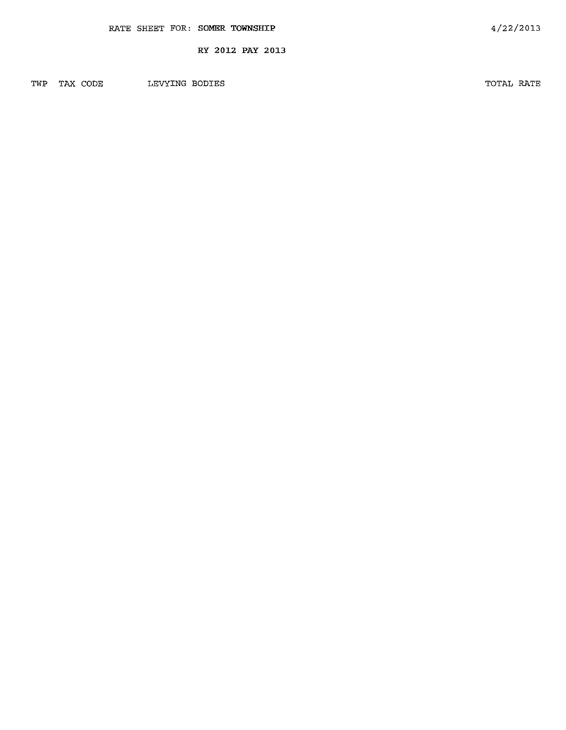TWP TAX CODE LEVYING BODIES

TOTAL RATE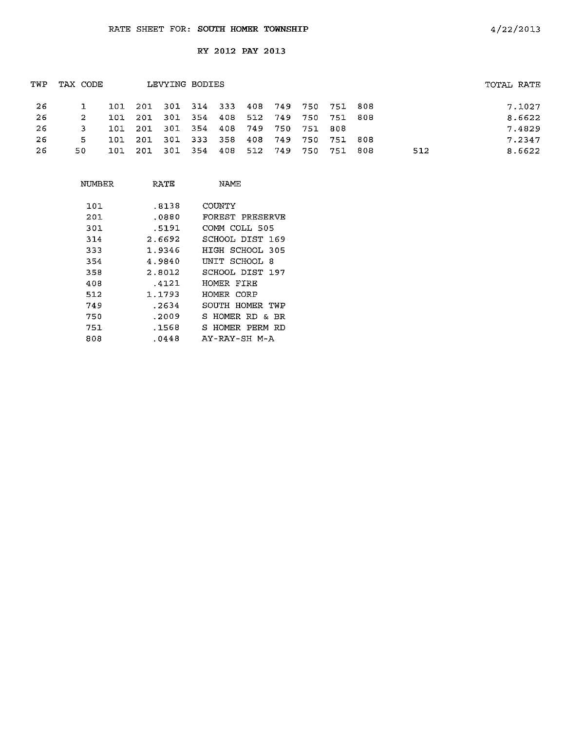| TAX CODE |      |     |     |     |         |                              |     |                                   |     |                                                                                   | TOTAL RATE |
|----------|------|-----|-----|-----|---------|------------------------------|-----|-----------------------------------|-----|-----------------------------------------------------------------------------------|------------|
|          | 101  |     |     |     |         |                              |     |                                   |     |                                                                                   | 7.1027     |
| 2        | 101  |     |     |     |         |                              |     |                                   |     |                                                                                   | 8.6622     |
|          |      | 201 |     |     |         |                              | 751 | 808                               |     |                                                                                   | 7.4829     |
| 5        | 101. | 201 |     |     |         |                              |     |                                   | 808 |                                                                                   | 7.2347     |
| 50.      | 101  | 201 | 301 |     | 408     | 512                          | 750 | 751                               | 808 | 512                                                                               | 8.6622     |
|          |      |     | 101 | 301 | 301 333 | LEVYING BODIES<br>358<br>354 |     | 354 408 749 750<br>408 749<br>749 | 750 | 201 301 314 333 408 749 750 751 808<br>201 301 354 408 512 749 750 751 808<br>751 |            |

| NUMBER | RATE   | NAME                |
|--------|--------|---------------------|
| 101    | .8138  | COUNTY              |
| 201    | .0880  | FOREST PRESERVE     |
| 301    | .5191  | COMM COLL 505       |
| 314    | 2.6692 | SCHOOL DIST 169     |
| 333    | 1.9346 | HIGH SCHOOL 305     |
| 354    | 4.9840 | UNIT SCHOOL 8       |
| 358    | 2.8012 | SCHOOL DIST 197     |
| 408    | .4121  | HOMER FIRE          |
| 512    | 1.1793 | HOMER CORP          |
| 749    | .2634  | SOUTH HOMER TWP     |
| 750    | .2009  | HOMER RD & BR<br>S. |
| 751    | .1568  | S HOMER PERM RD     |
| 808    | .0448  | AY-RAY-SH M-A       |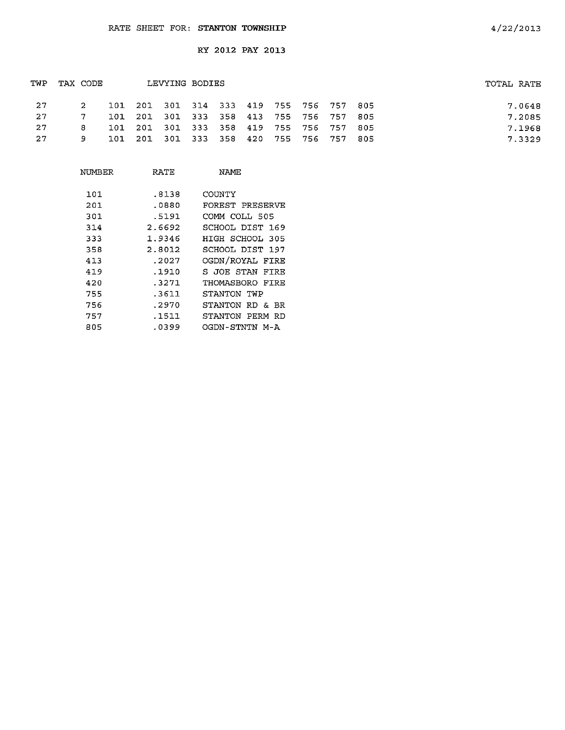| TWP | TAX CODE    |  | LEVYING BODIES                          |  |  |  | TOTAL RATE |
|-----|-------------|--|-----------------------------------------|--|--|--|------------|
| -27 | $2^{\circ}$ |  | 101 201 301 314 333 419 755 756 757 805 |  |  |  | 7.0648     |
| -27 | -7.         |  | 101 201 301 333 358 413 755 756 757 805 |  |  |  | 7.2085     |
| -27 | 8.          |  | 101 201 301 333 358 419 755 756 757 805 |  |  |  | 7.1968     |
| -27 | 9.          |  | 101 201 301 333 358 420 755 756 757 805 |  |  |  | 7.3329     |

| NUMBER | RATE   | NAME               |
|--------|--------|--------------------|
| 101    | .8138  | COUNTY             |
| 201    | .0880  | FOREST PRESERVE    |
| 301    | .5191  | COMM COLL 505      |
| 314    | 2.6692 | SCHOOL DIST 169    |
| 333    | 1.9346 | HIGH SCHOOL 305    |
| 358    | 2.8012 | SCHOOL DIST 197    |
| 413    | .2027  | OGDN/ROYAL FIRE    |
| 419    | .1910  | S JOE STAN FIRE    |
| 420    | .3271  | THOMASBORO FIRE    |
| 755    | .3611  | STANTON TWP        |
| 756    | .2970  | STANTON RD & BR    |
| 757    | .1511  | STANTON PERM<br>RD |
| 805    | .0399  | OGDN-STNTN M-A     |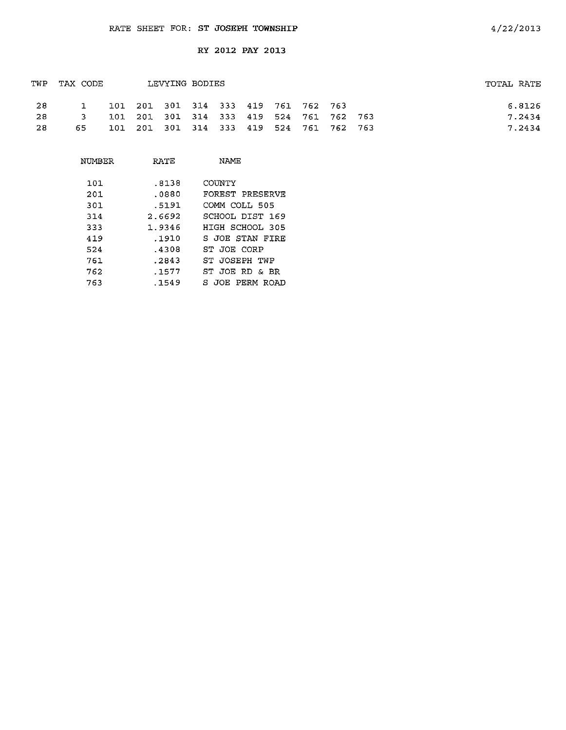| TWP | TAX CODE      |  | TOTAL RATE                              |  |  |  |  |        |
|-----|---------------|--|-----------------------------------------|--|--|--|--|--------|
| -28 |               |  | 101 201 301 314 333 419 761 762 763     |  |  |  |  | 6.8126 |
| -28 | $\mathcal{R}$ |  | 101 201 301 314 333 419 524 761 762 763 |  |  |  |  | 7.2434 |
| -28 | 65.           |  | 101 201 301 314 333 419 524 761 762 763 |  |  |  |  | 7.2434 |

| NUMBER | RATE   | <b>NAME</b>           |
|--------|--------|-----------------------|
| 101    | .8138  | <b>COUNTY</b>         |
| 201    | .0880  | FOREST PRESERVE       |
| 301    | .5191  | COMM COLL 505         |
| 314    | 2.6692 | SCHOOL DIST 169       |
| 333    | 1.9346 | HIGH SCHOOL 305       |
| 419    | . 1910 | S JOE STAN FIRE       |
| 524    | .4308  | ST JOE CORP           |
| 761    | .2843  | ST JOSEPH TWP         |
| 762    | .1577  | ST JOE RD & BR        |
| 763    | .1549  | PERM<br>S JOF<br>ROAD |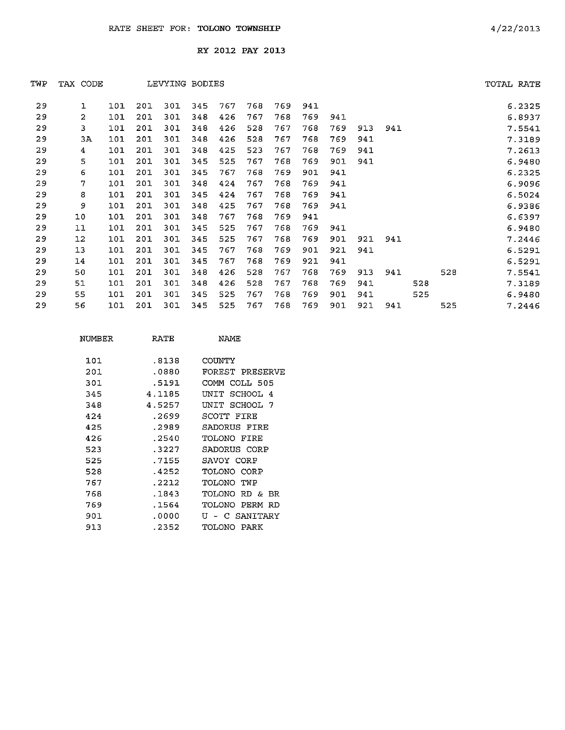| TWP | TAX CODE       |     |     |     | LEVYING BODIES |     |     |     |     |     |     |     |     |     | TOTAL RATE |
|-----|----------------|-----|-----|-----|----------------|-----|-----|-----|-----|-----|-----|-----|-----|-----|------------|
| 29  | 1              | 101 | 201 | 301 | 345            | 767 | 768 | 769 | 941 |     |     |     |     |     | 6.2325     |
| 29  | $\overline{c}$ | 101 | 201 | 301 | 348            | 426 | 767 | 768 | 769 | 941 |     |     |     |     | 6.8937     |
| 29  | 3              | 101 | 201 | 301 | 348            | 426 | 528 | 767 | 768 | 769 | 913 | 941 |     |     | 7.5541     |
| 29  | ЗA             | 101 | 201 | 301 | 348            | 426 | 528 | 767 | 768 | 769 | 941 |     |     |     | 7.3189     |
| 29  | 4              | 101 | 201 | 301 | 348            | 425 | 523 | 767 | 768 | 769 | 941 |     |     |     | 7.2613     |
| 29  | 5              | 101 | 201 | 301 | 345            | 525 | 767 | 768 | 769 | 901 | 941 |     |     |     | 6.9480     |
| 29  | 6              | 101 | 201 | 301 | 345            | 767 | 768 | 769 | 901 | 941 |     |     |     |     | 6.2325     |
| 29  | 7              | 101 | 201 | 301 | 348            | 424 | 767 | 768 | 769 | 941 |     |     |     |     | 6.9096     |
| 29  | 8              | 101 | 201 | 301 | 345            | 424 | 767 | 768 | 769 | 941 |     |     |     |     | 6.5024     |
| 29  | 9              | 101 | 201 | 301 | 348            | 425 | 767 | 768 | 769 | 941 |     |     |     |     | 6.9386     |
| 29  | 10             | 101 | 201 | 301 | 348            | 767 | 768 | 769 | 941 |     |     |     |     |     | 6.6397     |
| 29  | 11             | 101 | 201 | 301 | 345            | 525 | 767 | 768 | 769 | 941 |     |     |     |     | 6.9480     |
| 29  | $12 \,$        | 101 | 201 | 301 | 345            | 525 | 767 | 768 | 769 | 901 | 921 | 941 |     |     | 7.2446     |
| 29  | 13             | 101 | 201 | 301 | 345            | 767 | 768 | 769 | 901 | 921 | 941 |     |     |     | 6.5291     |
| 29  | 14             | 101 | 201 | 301 | 345            | 767 | 768 | 769 | 921 | 941 |     |     |     |     | 6.5291     |
| 29  | 50             | 101 | 201 | 301 | 348            | 426 | 528 | 767 | 768 | 769 | 913 | 941 |     | 528 | 7.5541     |
| 29  | 51             | 101 | 201 | 301 | 348            | 426 | 528 | 767 | 768 | 769 | 941 |     | 528 |     | 7.3189     |
| 29  | 55             | 101 | 201 | 301 | 345            | 525 | 767 | 768 | 769 | 901 | 941 |     | 525 |     | 6.9480     |
| 29  | 56             | 101 | 201 | 301 | 345            | 525 | 767 | 768 | 769 | 901 | 921 | 941 |     | 525 | 7.2446     |

| NUMBER | RATE   | NAME                  |
|--------|--------|-----------------------|
| 101    | .8138  | COUNTY                |
| 201    | .0880  | FOREST PRESERVE       |
| 301    | .5191  | COMM COLL 505         |
| 345    | 4.1185 | SCHOOL 4<br>TN T T    |
| 348    | 4.5257 | UNIT SCHOOL 7         |
| 424    | .2699  | SCOTT FIRE            |
| 425    | .2989  | SADORUS FIRE          |
| 426    | .2540  | TOLONO FIRE           |
| 523    | .3227  | SADORUS CORP          |
| 525    | .7155  | SAVOY CORP            |
| 528    | .4252  | TOLONO CORP           |
| 767    | .2212  | TOLONO -<br>TWP       |
| 768    | .1843  | TOLONO.<br>RD &<br>BR |
| 769    | .1564  | TOLONO.<br>PERM RD    |
| 901.   | .0000  | SANTTARY<br>11 – C    |
| 913    | . 2352 | TOLONO<br>PARK        |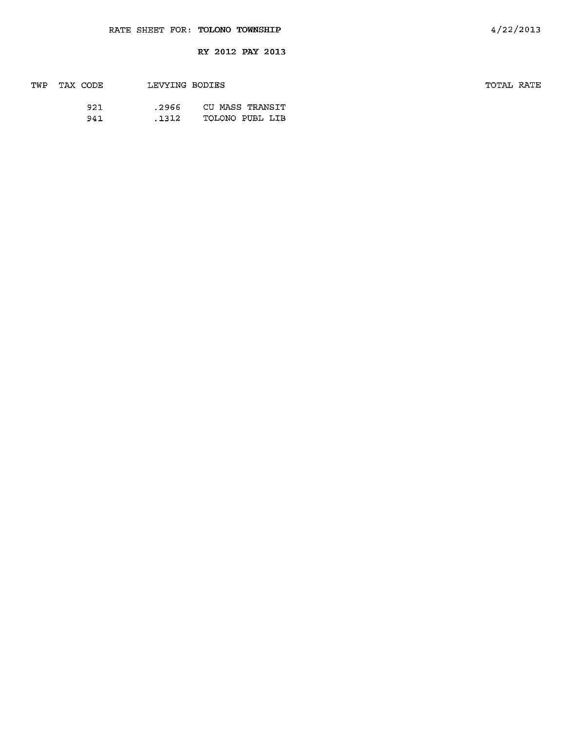| TWP | TAX CODE | LEVYING BODIES |                 | TOTAL RATE |  |
|-----|----------|----------------|-----------------|------------|--|
|     | 921      | .2966          | CU MASS TRANSIT |            |  |
|     | 941      | .1312          | TOLONO PUBL LIB |            |  |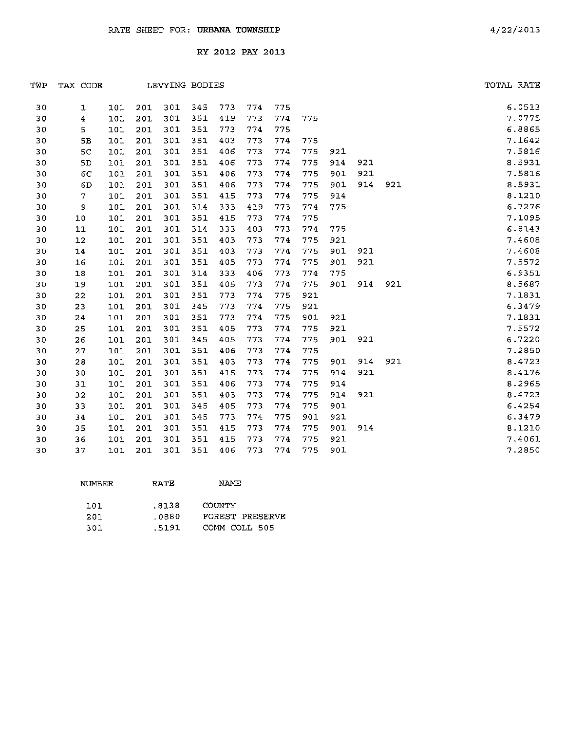| TWP | TAX CODE       |     |     | LEVYING BODIES |     |     |     |     |     |     |     |     | TOTAL RATE |
|-----|----------------|-----|-----|----------------|-----|-----|-----|-----|-----|-----|-----|-----|------------|
| 30  | 1              | 101 | 201 | 301            | 345 | 773 | 774 | 775 |     |     |     |     | 6.0513     |
| 30  | 4              | 101 | 201 | 301            | 351 | 419 | 773 | 774 | 775 |     |     |     | 7.0775     |
| 30  | 5              | 101 | 201 | 301            | 351 | 773 | 774 | 775 |     |     |     |     | 6.8865     |
| 30  | 5B             | 101 | 201 | 301            | 351 | 403 | 773 | 774 | 775 |     |     |     | 7.1642     |
| 30  | 5 <sub>C</sub> | 101 | 201 | 301            | 351 | 406 | 773 | 774 | 775 | 921 |     |     | 7.5816     |
| 30  | 5D             | 101 | 201 | 301            | 351 | 406 | 773 | 774 | 775 | 914 | 921 |     | 8.5931     |
| 30  | 6C             | 101 | 201 | 301            | 351 | 406 | 773 | 774 | 775 | 901 | 921 |     | 7.5816     |
| 30  | 6D             | 101 | 201 | 301            | 351 | 406 | 773 | 774 | 775 | 901 | 914 | 921 | 8.5931     |
| 30  | $\mathcal{I}$  | 101 | 201 | 301            | 351 | 415 | 773 | 774 | 775 | 914 |     |     | 8.1210     |
| 30  | 9              | 101 | 201 | 301            | 314 | 333 | 419 | 773 | 774 | 775 |     |     | 6.7276     |
| 30  | 10             | 101 | 201 | 301            | 351 | 415 | 773 | 774 | 775 |     |     |     | 7.1095     |
| 30  | 11             | 101 | 201 | 301            | 314 | 333 | 403 | 773 | 774 | 775 |     |     | 6.8143     |
| 30  | $12\,$         | 101 | 201 | 301            | 351 | 403 | 773 | 774 | 775 | 921 |     |     | 7.4608     |
| 30  | 14             | 101 | 201 | 301            | 351 | 403 | 773 | 774 | 775 | 901 | 921 |     | 7.4608     |
| 30  | 16             | 101 | 201 | 301            | 351 | 405 | 773 | 774 | 775 | 901 | 921 |     | 7.5572     |
| 30  | 18             | 101 | 201 | 301            | 314 | 333 | 406 | 773 | 774 | 775 |     |     | 6.9351     |
| 30  | 19             | 101 | 201 | 301            | 351 | 405 | 773 | 774 | 775 | 901 | 914 | 921 | 8.5687     |
| 30  | 22             | 101 | 201 | 301            | 351 | 773 | 774 | 775 | 921 |     |     |     | 7.1831     |
| 30  | 23             | 101 | 201 | 301            | 345 | 773 | 774 | 775 | 921 |     |     |     | 6.3479     |
| 30  | 24             | 101 | 201 | 301            | 351 | 773 | 774 | 775 | 901 | 921 |     |     | 7.1831     |
| 30  | 25             | 101 | 201 | 301            | 351 | 405 | 773 | 774 | 775 | 921 |     |     | 7.5572     |
| 30  | 26             | 101 | 201 | 301            | 345 | 405 | 773 | 774 | 775 | 901 | 921 |     | 6.7220     |
| 30  | 27             | 101 | 201 | 301            | 351 | 406 | 773 | 774 | 775 |     |     |     | 7.2850     |
| 30  | 28             | 101 | 201 | 301            | 351 | 403 | 773 | 774 | 775 | 901 | 914 | 921 | 8.4723     |
| 30  | 30             | 101 | 201 | 301            | 351 | 415 | 773 | 774 | 775 | 914 | 921 |     | 8.4176     |
| 30  | 31             | 101 | 201 | 301            | 351 | 406 | 773 | 774 | 775 | 914 |     |     | 8.2965     |
| 30  | 32             | 101 | 201 | 301            | 351 | 403 | 773 | 774 | 775 | 914 | 921 |     | 8.4723     |
| 30  | 33             | 101 | 201 | 301            | 345 | 405 | 773 | 774 | 775 | 901 |     |     | 6.4254     |
| 30  | 34             | 101 | 201 | 301            | 345 | 773 | 774 | 775 | 901 | 921 |     |     | 6.3479     |
| 30  | 35             | 101 | 201 | 301            | 351 | 415 | 773 | 774 | 775 | 901 | 914 |     | 8.1210     |
| 30  | 36             | 101 | 201 | 301            | 351 | 415 | 773 | 774 | 775 | 921 |     |     | 7.4061     |
| 30  | 37             | 101 | 201 | 301            | 351 | 406 | 773 | 774 | 775 | 901 |     |     | 7.2850     |

| NUMBER | <b>RATE</b> | <b>NAME</b>     |
|--------|-------------|-----------------|
| 101    | .8138       | COUNTY          |
| 201    | .0880       | FOREST PRESERVE |
| 301    | .5191       | COMM COLL 505   |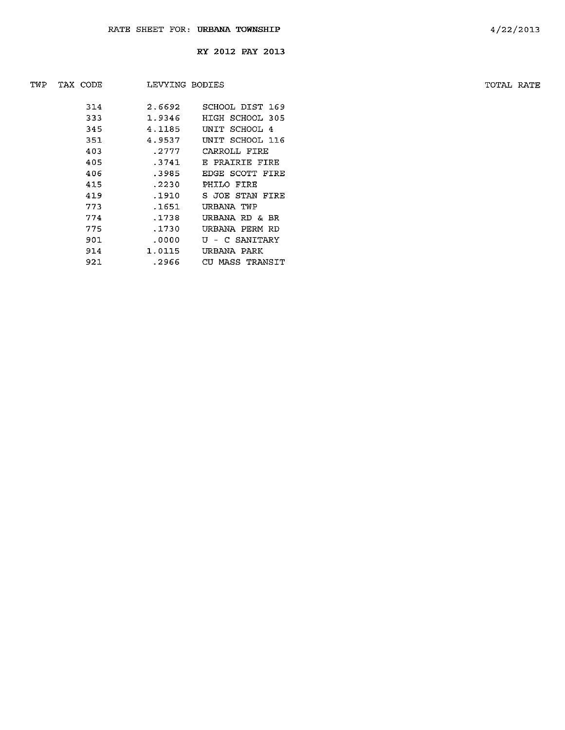| TWP | TAX CODE | LEVYING BODIES |                 | TOTAL RATE |
|-----|----------|----------------|-----------------|------------|
|     | 314      | 2.6692         | SCHOOL DIST 169 |            |
|     | 333      | 1.9346         | HIGH SCHOOL 305 |            |
|     | 345      | 4.1185         | UNIT SCHOOL 4   |            |
|     | 351      | 4.9537         | UNIT SCHOOL 116 |            |
|     | 403      | .2777          | CARROLL FIRE    |            |
|     | 405      | .3741          | E PRAIRIE FIRE  |            |
|     | 406      | .3985          | EDGE SCOTT FIRE |            |
|     | 415      | .2230          | PHILO FIRE      |            |
|     | 419      | .1910          | S JOE STAN FIRE |            |
|     | 773      | .1651          | URBANA TWP      |            |
|     | 774      | .1738          | URBANA RD & BR  |            |
|     | 775      | .1730          | URBANA PERM RD  |            |
|     | 901      | .0000.         | U - C SANITARY  |            |
|     | 914      | 1.0115         | URBANA PARK     |            |
|     | 921      | .2966          | CU MASS TRANSIT |            |
|     |          |                |                 |            |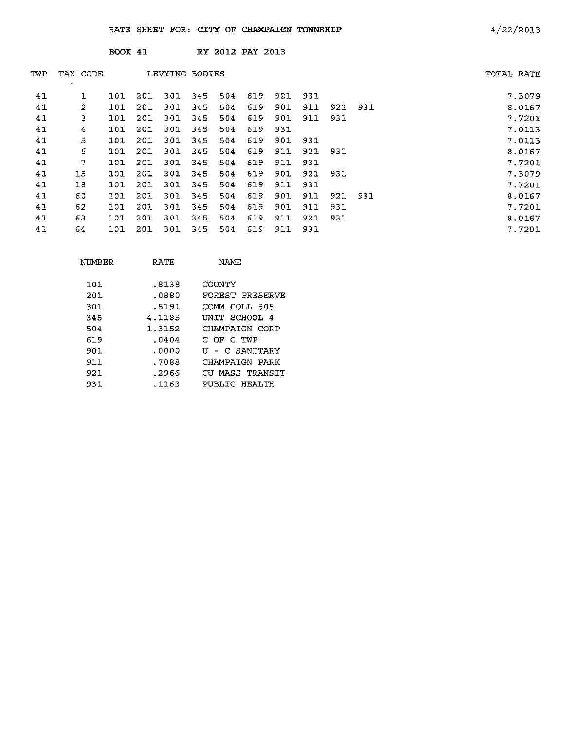|     |                    | <b>BOOK 41</b> |     |                |     |     | RY 2012 PAY 2013 |     |     |     |     |            |
|-----|--------------------|----------------|-----|----------------|-----|-----|------------------|-----|-----|-----|-----|------------|
| TWP | TAX CODE<br>$\sim$ |                |     | LEVYING BODIES |     |     |                  |     |     |     |     | TOTAL RATE |
| 41  |                    | 101            | 201 | 301            | 345 | 504 | 619              | 921 | 931 |     |     | 7.3079     |
| 41  | $\overline{2}$     | 101            | 201 | 301            | 345 | 504 | 619              | 901 | 911 | 921 | 931 | 8.0167     |
| 41  | 3                  | 101            | 201 | 301            | 345 | 504 | 619              | 901 | 911 | 931 |     | 7.7201     |
| 41  | 4                  | 101            | 201 | 301            | 345 | 504 | 619              | 931 |     |     |     | 7.0113     |
| 41  | 5                  | 101            | 201 | 301            | 345 | 504 | 619              | 901 | 931 |     |     | 7.0113     |
| 41  | 6                  | 101            | 201 | 301            | 345 | 504 | 619              | 911 | 921 | 931 |     | 8.0167     |
| 41  | 7                  | 101            | 201 | 301            | 345 | 504 | 619              | 911 | 931 |     |     | 7.7201     |
| 41  | 15                 | 101            | 201 | 301            | 345 | 504 | 619              | 901 | 921 | 931 |     | 7.3079     |
| 41  | 18                 | 101            | 201 | 301            | 345 | 504 | 619              | 911 | 931 |     |     | 7.7201     |
| 41  | 60                 | 101            | 201 | 301            | 345 | 504 | 619              | 901 | 911 | 921 | 931 | 8.0167     |
| 41  | 62                 | 101            | 201 | 301            | 345 | 504 | 619              | 901 | 911 | 931 |     | 7.7201     |
| 41  | 63                 | 101            | 201 | 301            | 345 | 504 | 619              | 911 | 921 | 931 |     | 8.0167     |
| 41  | 64                 | 101            | 201 | 301            | 345 | 504 | 619              | 911 | 931 |     |     | 7.7201     |
|     |                    |                |     |                |     |     |                  |     |     |     |     |            |

| NUMBER | RATE   | NAMF            |
|--------|--------|-----------------|
|        |        |                 |
| 101    | .8138  | COUNTY          |
| 201    | . 0880 | FOREST PRESERVE |
| 301    | .5191  | COMM COLL 505   |
| 345    | 4.1185 | UNIT SCHOOL 4   |
| 504    | 1.3152 | CHAMPAIGN CORP  |
| 619    | .0404  | C OF C TWP      |
| 901    | .0000  | U - C SANITARY  |
| 911    | .7088  | CHAMPATGN PARK  |
| 921    | . 2966 | CU MASS TRANSIT |
| 931    | .1163  | PUBLIC HEALTH   |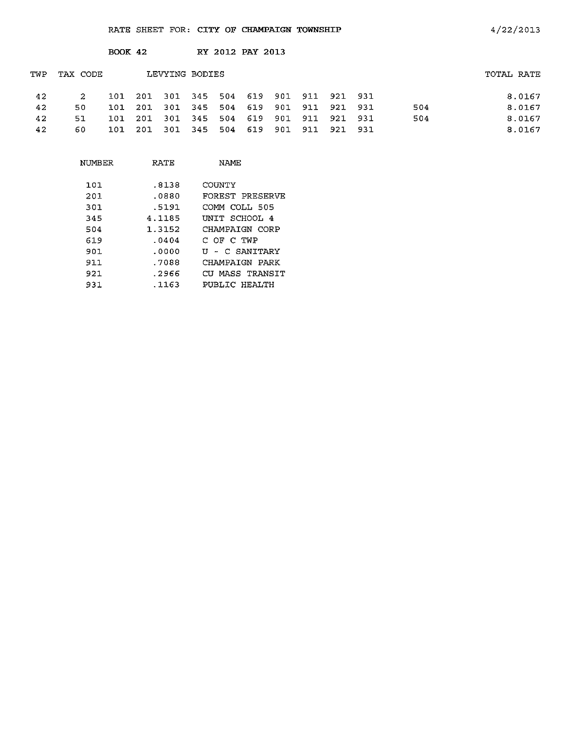| TOTAL RATE |
|------------|
| 8.0167     |
| 8.0167     |
| 8.0167     |
| 8.0167     |
|            |

| NUMBER | RATE   | NAME            |
|--------|--------|-----------------|
| 101    | .8138  | COUNTY          |
| 201    | .0880  | FOREST PRESERVE |
| 301    | .5191  | COMM COLL 505   |
| 345    | 4.1185 | INIT SCHOOL 4   |
| 504    | 1.3152 | CHAMPAIGN CORP  |
| 619    | .0404  | C OF C TWP      |
| 901.   | .0000  | II - C SANTTARY |
| 911    | .7088  | CHAMPAIGN PARK  |
| 921    | . 2966 | CU MASS TRANSIT |
| 931.   | .1163  | PUBLIC HEALTH   |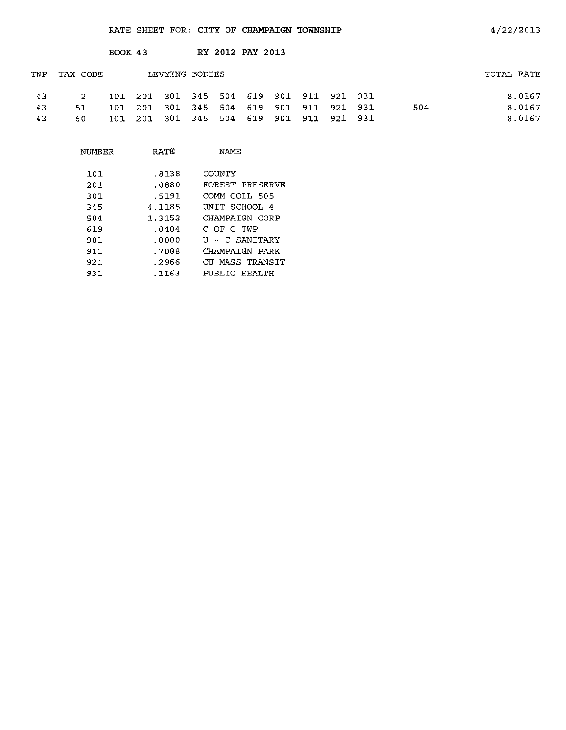|     |          | <b>BOOK 43</b> |     |                |     | RY 2012 PAY 2013                    |     |     |             |     |            |
|-----|----------|----------------|-----|----------------|-----|-------------------------------------|-----|-----|-------------|-----|------------|
| TWP | TAX CODE |                |     | LEVYING BODIES |     |                                     |     |     |             |     | TOTAL RATE |
| 43  | -2.      | 101            |     |                |     | 201 301 345 504 619 901 911 921 931 |     |     |             |     | 8.0167     |
| 43  | 51       | 101            | 201 | 301 345 504    |     | 619                                 | 901 |     | 911 921 931 | 504 | 8.0167     |
| 43  | 60       | 101            | 201 | 301 345        | 504 | 619                                 | 901 | 911 | 921 931     |     | 8.0167     |

| NUMBER | RATE   | NAMF            |
|--------|--------|-----------------|
| 101    | .8138  | <b>COUNTY</b>   |
| 201    | .0880  | FOREST PRESERVE |
| 301    | .5191  | COMM COLL 505   |
| 345    | 4.1185 | UNIT SCHOOL 4   |
| 504    | 1.3152 | CHAMPAIGN CORP  |
| 619    | .0404  | C OF C TWP      |
| 901    | .0000  | U - C SANITARY  |
| 911    | .7088  | CHAMPATGN PARK  |
| 921    | .2966  | CU MASS TRANSIT |
| 931    | .1163  | PUBLIC HEALTH   |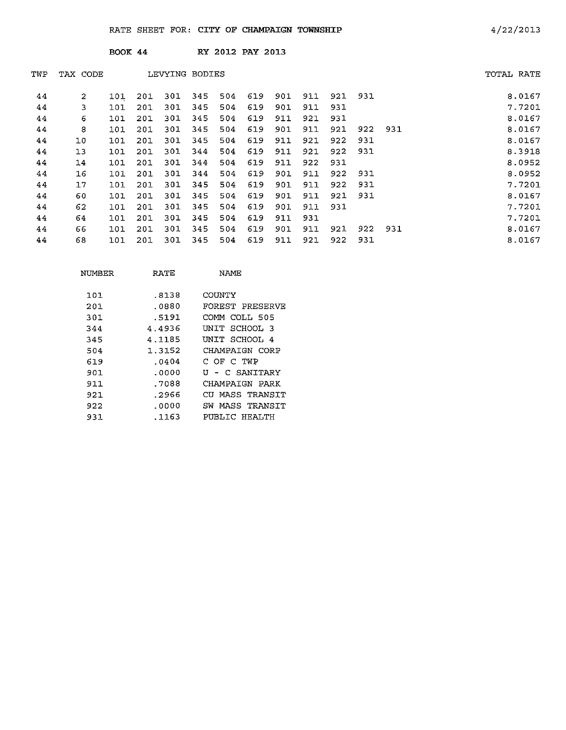|     |          | <b>BOOK 44</b> |     |                |     |     | RY 2012 PAY 2013 |     |     |     |     |     |            |        |
|-----|----------|----------------|-----|----------------|-----|-----|------------------|-----|-----|-----|-----|-----|------------|--------|
| TWP | TAX CODE |                |     | LEVYING BODIES |     |     |                  |     |     |     |     |     | TOTAL RATE |        |
| 44  | 2        | 101            | 201 | 301            | 345 | 504 | 619              | 901 | 911 | 921 | 931 |     |            | 8.0167 |
| 44  | 3        | 101            | 201 | 301            | 345 | 504 | 619              | 901 | 911 | 931 |     |     |            | 7.7201 |
| 44  | 6        | 101            | 201 | 301            | 345 | 504 | 619              | 911 | 921 | 931 |     |     |            | 8.0167 |
| 44  | 8        | 101            | 201 | 301            | 345 | 504 | 619              | 901 | 911 | 921 | 922 | 931 |            | 8.0167 |
| 44  | 10       | 101            | 201 | 301            | 345 | 504 | 619              | 911 | 921 | 922 | 931 |     |            | 8.0167 |
| 44  | 13       | 101            | 201 | 301            | 344 | 504 | 619              | 911 | 921 | 922 | 931 |     |            | 8.3918 |
| 44  | 14       | 101            | 201 | 301            | 344 | 504 | 619              | 911 | 922 | 931 |     |     |            | 8.0952 |
| 44  | 16       | 101            | 201 | 301            | 344 | 504 | 619              | 901 | 911 | 922 | 931 |     |            | 8.0952 |
| 44  | 17       | 101            | 201 | 301            | 345 | 504 | 619              | 901 | 911 | 922 | 931 |     |            | 7.7201 |
| 44  | 60       | 101            | 201 | 301            | 345 | 504 | 619              | 901 | 911 | 921 | 931 |     |            | 8.0167 |
| 44  | 62       | 101            | 201 | 301            | 345 | 504 | 619              | 901 | 911 | 931 |     |     |            | 7.7201 |
| 44  | 64       | 101            | 201 | 301            | 345 | 504 | 619              | 911 | 931 |     |     |     |            | 7.7201 |
| 44  | 66       | 101            | 201 | 301            | 345 | 504 | 619              | 901 | 911 | 921 | 922 | 931 |            | 8.0167 |
| 44  | 68       | 101            | 201 | 301            | 345 | 504 | 619              | 911 | 921 | 922 | 931 |     |            | 8.0167 |

| NUMBER | RATE   | NAME               |
|--------|--------|--------------------|
| 101    | .8138  | COUNTY             |
| 201    | .0880  | FOREST PRESERVE    |
| 301    | .5191  | COMM COLL 505      |
| 344    | 44936  | SCHOOL 3<br>UNIT   |
| 345    | 4.1185 | INIT SCHOOL 4      |
| 504    | 1.3152 | CHAMPAIGN CORP     |
| 619    | .0404  | C OF C TWP         |
| 901    | .0000  | U - C SANITARY     |
| 911    | .7088  | CHAMPAIGN<br>PARK  |
| 921.   | .2966  | CU MASS TRANSIT    |
| 922    | .0000  | MASS TRANSTT<br>SW |
| 931    | .1163  | PUBLIC HEALTH      |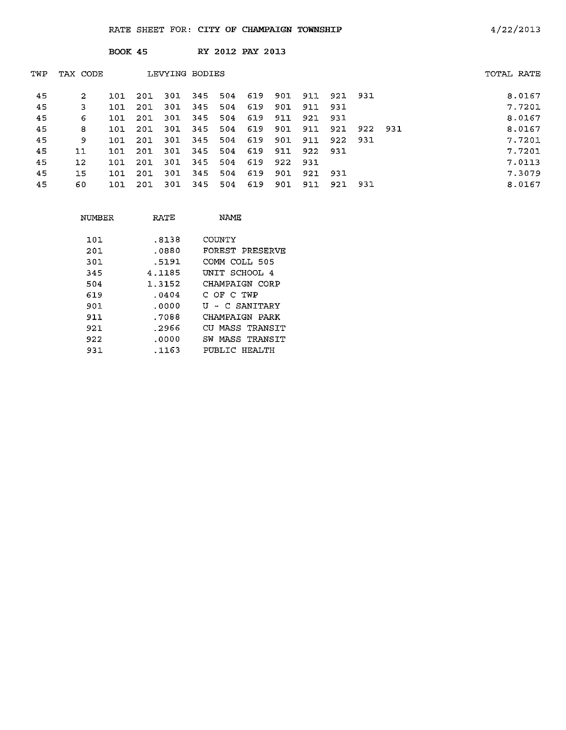|     |                   | <b>BOOK 45</b> |     |                |      |     | RY 2012 PAY 2013 |     |     |         |       |     |            |
|-----|-------------------|----------------|-----|----------------|------|-----|------------------|-----|-----|---------|-------|-----|------------|
| TWP | TAX CODE          |                |     | LEVYING BODIES |      |     |                  |     |     |         |       |     | TOTAL RATE |
| 45  | 2                 | 101            | 201 | 301            | -345 | 504 | 619              | 901 | 911 | 921 931 |       |     | 8.0167     |
| 45  | 3                 | 101            | 201 | -301           | 345  | 504 | 619              | 901 | 911 | 931     |       |     | 7.7201     |
| 45  | 6                 | 101            | 201 | 301            | 345  | 504 | 619              | 911 | 921 | 931     |       |     | 8.0167     |
| 45  | 8                 | 101            | 201 | 301            | 345  | 504 | 619              | 901 | 911 | 921     | 922   | 931 | 8.0167     |
| 45  | 9                 | 101            | 201 | 301            | 345  | 504 | 619              | 901 | 911 | 922     | - 931 |     | 7.7201     |
| 45  | 11                | 101            | 201 | 301            | 345  | 504 | 619              | 911 | 922 | 931     |       |     | 7.7201     |
| 45  | $12 \overline{ }$ | 101            | 201 | 301            | -345 | 504 | 619              | 922 | 931 |         |       |     | 7.0113     |
| 45  | 15                | 101            | 201 | 301            | 345  | 504 | 619              | 901 | 921 | -931    |       |     | 7.3079     |
| 45  | 60                | 101            | 201 | 301            | 345  | 504 | 619              | 901 | 911 | 921     | 931   |     | 8.0167     |
|     |                   |                |     |                |      |     |                  |     |     |         |       |     |            |

| NUMBER | RATE   | NAME               |
|--------|--------|--------------------|
| 101    | .8138  | COUNTY             |
| 201    | .0880  | FOREST PRESERVE    |
| 301    | .5191  | COMM COLL 505      |
| 345    | 4.1185 | INIT SCHOOL 4      |
| 504    | 1.3152 | CHAMPAIGN CORP     |
| 619    | .0404  | C OF C TWP         |
| 901    | . 0000 | U - C SANITARY     |
| 911    | .7088  | CHAMPAIGN PARK     |
| 921.   | .2966  | MASS TRANSTT<br>CU |
| 922    | .೧೧೦೦  | MASS TRANSTT<br>SW |
| 931    | .1163  | PUBLIC HEALTH      |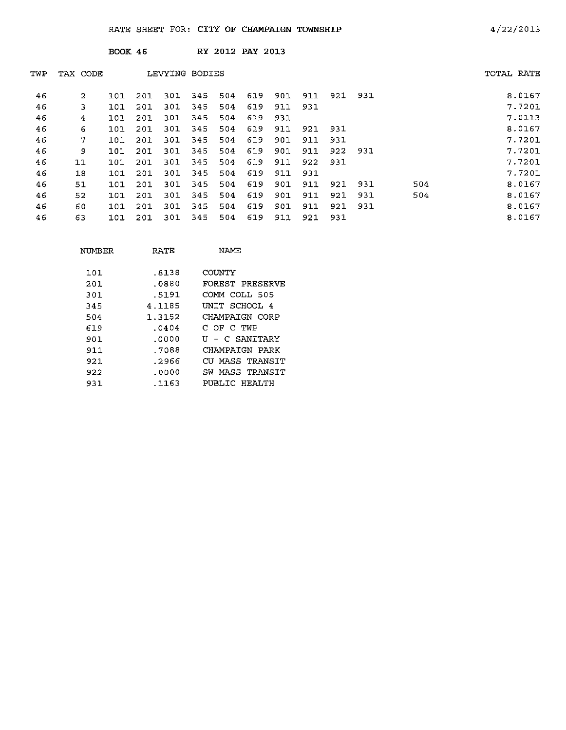|     |                | <b>BOOK 46</b> |     |                |     |     | RY 2012 PAY 2013 |     |     |     |     |     |            |
|-----|----------------|----------------|-----|----------------|-----|-----|------------------|-----|-----|-----|-----|-----|------------|
| TWP | TAX CODE       |                |     | LEVYING BODIES |     |     |                  |     |     |     |     |     | TOTAL RATE |
| 46  | $\overline{2}$ | 101            | 201 | 301            | 345 | 504 | 619              | 901 | 911 | 921 | 931 |     | 8.0167     |
| 46  | 3              | 101            | 201 | 301            | 345 | 504 | 619              | 911 | 931 |     |     |     | 7.7201     |
| 46  | 4              | 101            | 201 | 301            | 345 | 504 | 619              | 931 |     |     |     |     | 7.0113     |
| 46  | 6              | 101            | 201 | 301            | 345 | 504 | 619              | 911 | 921 | 931 |     |     | 8.0167     |
| 46  | 7              | 101            | 201 | 301            | 345 | 504 | 619              | 901 | 911 | 931 |     |     | 7.7201     |
| 46  | 9              | 101            | 201 | 301            | 345 | 504 | 619              | 901 | 911 | 922 | 931 |     | 7.7201     |
| 46  | 11             | 101            | 201 | 301            | 345 | 504 | 619              | 911 | 922 | 931 |     |     | 7.7201     |
| 46  | 18             | 101            | 201 | 301            | 345 | 504 | 619              | 911 | 931 |     |     |     | 7.7201     |
| 46  | 51             | 101            | 201 | 301            | 345 | 504 | 619              | 901 | 911 | 921 | 931 | 504 | 8.0167     |
| 46  | 52             | 101            | 201 | 301            | 345 | 504 | 619              | 901 | 911 | 921 | 931 | 504 | 8.0167     |
| 46  | 60             | 101            | 201 | 301            | 345 | 504 | 619              | 901 | 911 | 921 | 931 |     | 8.0167     |
| 46  | 63             | 101            | 201 | 301            | 345 | 504 | 619              | 911 | 921 | 931 |     |     | 8.0167     |

| NUMBER | RATE   | NAME                |
|--------|--------|---------------------|
| 101    | .8138  | COUNTY              |
| 201    | .0880  | FOREST PRESERVE     |
| 301    | .5191  | COMM COLL 505       |
| 345    | 4.1185 | UNIT SCHOOL 4       |
| 504    | 1.3152 | CHAMPAIGN CORP      |
| 619    | .0404  | C OF C TWP          |
| 901    | .0000  | U - C SANTTARY      |
| 911    | .7088  | CHAMPAIGN PARK      |
| 921    | .2966  | CU MASS TRANSIT     |
| 922    | .0000  | MASS TRANSIT<br>SW. |
| 931    | .1163  | PUBLIC HEALTH       |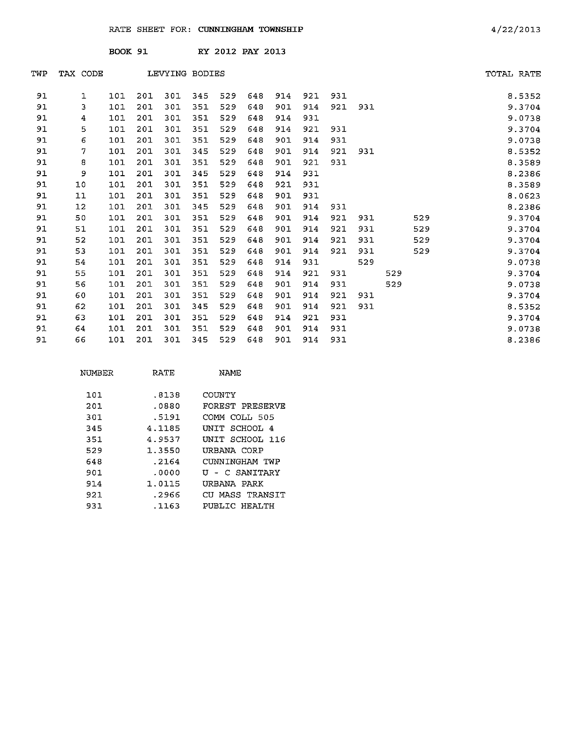|     |          | BOOK 91 |     |                |     |     | RY 2012 PAY 2013 |     |     |     |     |     |     |            |
|-----|----------|---------|-----|----------------|-----|-----|------------------|-----|-----|-----|-----|-----|-----|------------|
| TWP | TAX CODE |         |     | LEVYING BODIES |     |     |                  |     |     |     |     |     |     | TOTAL RATE |
| 91  | 1        | 101     | 201 | 301            | 345 | 529 | 648              | 914 | 921 | 931 |     |     |     | 8.5352     |
| 91  | 3        | 101     | 201 | 301            | 351 | 529 | 648              | 901 | 914 | 921 | 931 |     |     | 9.3704     |
| 91  | 4        | 101     | 201 | 301            | 351 | 529 | 648              | 914 | 931 |     |     |     |     | 9.0738     |
| 91  | 5        | 101     | 201 | 301            | 351 | 529 | 648              | 914 | 921 | 931 |     |     |     | 9.3704     |
| 91  | 6        | 101     | 201 | 301            | 351 | 529 | 648              | 901 | 914 | 931 |     |     |     | 9.0738     |
| 91  | 7        | 101     | 201 | 301            | 345 | 529 | 648              | 901 | 914 | 921 | 931 |     |     | 8.5352     |
| 91  | 8        | 101     | 201 | 301            | 351 | 529 | 648              | 901 | 921 | 931 |     |     |     | 8.3589     |
| 91  | 9        | 101     | 201 | 301            | 345 | 529 | 648              | 914 | 931 |     |     |     |     | 8.2386     |
| 91  | 10       | 101     | 201 | 301            | 351 | 529 | 648              | 921 | 931 |     |     |     |     | 8.3589     |
| 91  | 11       | 101     | 201 | 301            | 351 | 529 | 648              | 901 | 931 |     |     |     |     | 8.0623     |
| 91  | 12       | 101     | 201 | 301            | 345 | 529 | 648              | 901 | 914 | 931 |     |     |     | 8.2386     |
| 91  | 50       | 101     | 201 | 301            | 351 | 529 | 648              | 901 | 914 | 921 | 931 |     | 529 | 9.3704     |
| 91  | 51       | 101     | 201 | 301            | 351 | 529 | 648              | 901 | 914 | 921 | 931 |     | 529 | 9.3704     |
| 91  | 52       | 101     | 201 | 301            | 351 | 529 | 648              | 901 | 914 | 921 | 931 |     | 529 | 9.3704     |
| 91  | 53       | 101     | 201 | 301            | 351 | 529 | 648              | 901 | 914 | 921 | 931 |     | 529 | 9.3704     |
| 91  | 54       | 101     | 201 | 301            | 351 | 529 | 648              | 914 | 931 |     | 529 |     |     | 9.0738     |
| 91  | 55       | 101     | 201 | 301            | 351 | 529 | 648              | 914 | 921 | 931 |     | 529 |     | 9.3704     |
| 91  | 56       | 101     | 201 | 301            | 351 | 529 | 648              | 901 | 914 | 931 |     | 529 |     | 9.0738     |
| 91  | 60       | 101     | 201 | 301            | 351 | 529 | 648              | 901 | 914 | 921 | 931 |     |     | 9.3704     |
| 91  | 62       | 101     | 201 | 301            | 345 | 529 | 648              | 901 | 914 | 921 | 931 |     |     | 8.5352     |
| 91  | 63       | 101     | 201 | 301            | 351 | 529 | 648              | 914 | 921 | 931 |     |     |     | 9.3704     |
| 91  | 64       | 101     | 201 | 301            | 351 | 529 | 648              | 901 | 914 | 931 |     |     |     | 9.0738     |
| 91  | 66       | 101     | 201 | 301            | 345 | 529 | 648              | 901 | 914 | 931 |     |     |     | 8.2386     |

| NUMBER | RATE   | <b>NAME</b>     |
|--------|--------|-----------------|
| 101    | .8138  | COUNTY          |
| 201    | .0880  | FOREST PRESERVE |
| 301    | .5191  | COMM COLL 505   |
| 345    | 4.1185 | UNIT SCHOOL 4   |
| 351    | 4.9537 | UNIT SCHOOL 116 |
| 529    | 1.3550 | URBANA CORP     |
| 648    | .2164  | CUNNINGHAM TWP  |
| 901    | .0000  | U - C SANITARY  |
| 914    | 1.0115 | URBANA PARK     |
| 921    | .2966  | CU MASS TRANSIT |
| 931    | .1163  | PUBLIC HEALTH   |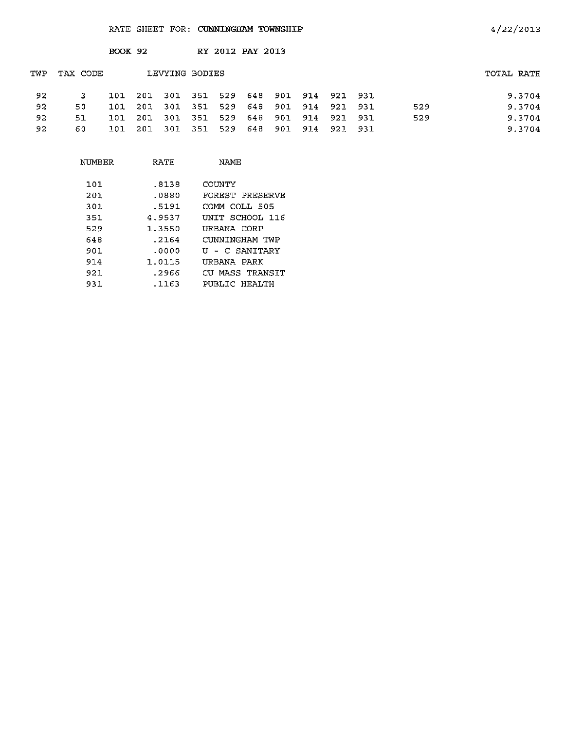|     |          | BOOK 92 |      |                |     |     | RY 2012 PAY 2013 |     |                 |         |     |            |        |
|-----|----------|---------|------|----------------|-----|-----|------------------|-----|-----------------|---------|-----|------------|--------|
| TWP | TAX CODE |         |      | LEVYING BODIES |     |     |                  |     |                 |         |     | TOTAL RATE |        |
| 92  |          | 101     | -201 | 301 351        |     |     | 529 648          |     | 901 914 921 931 |         |     |            | 9.3704 |
| 92  | 50       | 101     | -201 | -301           | 351 | 529 | 648              |     | 901 914 921 931 |         | 529 |            | 9.3704 |
| 92  | 51       | 101     | -201 | - 301          | 351 | 529 | 648              |     | 901 914 921 931 |         | 529 |            | 9.3704 |
| 92  | 60.      | 101     | -201 | -301           | 351 | 529 | 648              | 901 | 914             | 921 931 |     |            | 9.3704 |

| NUMBER | RATE   | NAME            |  |  |  |  |  |
|--------|--------|-----------------|--|--|--|--|--|
| 101    | .8138  | COUNTY          |  |  |  |  |  |
| 201    | .0880  | FOREST PRESERVE |  |  |  |  |  |
| 301    | .5191  | COMM COLL 505   |  |  |  |  |  |
| 351    | 4.9537 | INIT SCHOOL 116 |  |  |  |  |  |
| 529    | 1.3550 | URBANA CORP     |  |  |  |  |  |
| 648    | .2164  | CUNNINGHAM TWP  |  |  |  |  |  |
| 901.   | .0000  | U - C SANITARY  |  |  |  |  |  |
| 914    | 1.0115 | URBANA PARK     |  |  |  |  |  |
| 921    | . 2966 | CU MASS TRANSIT |  |  |  |  |  |
| 931    | .1163  | PUBLIC HEALTH   |  |  |  |  |  |